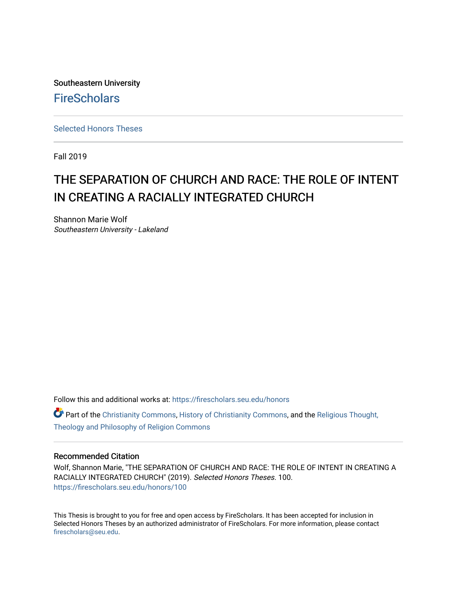Southeastern University **FireScholars** 

[Selected Honors Theses](https://firescholars.seu.edu/honors)

Fall 2019

# THE SEPARATION OF CHURCH AND RACE: THE ROLE OF INTENT IN CREATING A RACIALLY INTEGRATED CHURCH

Shannon Marie Wolf Southeastern University - Lakeland

Follow this and additional works at: [https://firescholars.seu.edu/honors](https://firescholars.seu.edu/honors?utm_source=firescholars.seu.edu%2Fhonors%2F100&utm_medium=PDF&utm_campaign=PDFCoverPages)

 $\bullet$  Part of the [Christianity Commons,](http://network.bepress.com/hgg/discipline/1181?utm_source=firescholars.seu.edu%2Fhonors%2F100&utm_medium=PDF&utm_campaign=PDFCoverPages) [History of Christianity Commons,](http://network.bepress.com/hgg/discipline/1182?utm_source=firescholars.seu.edu%2Fhonors%2F100&utm_medium=PDF&utm_campaign=PDFCoverPages) and the [Religious Thought,](http://network.bepress.com/hgg/discipline/544?utm_source=firescholars.seu.edu%2Fhonors%2F100&utm_medium=PDF&utm_campaign=PDFCoverPages) [Theology and Philosophy of Religion Commons](http://network.bepress.com/hgg/discipline/544?utm_source=firescholars.seu.edu%2Fhonors%2F100&utm_medium=PDF&utm_campaign=PDFCoverPages) 

#### Recommended Citation

Wolf, Shannon Marie, "THE SEPARATION OF CHURCH AND RACE: THE ROLE OF INTENT IN CREATING A RACIALLY INTEGRATED CHURCH" (2019). Selected Honors Theses. 100. [https://firescholars.seu.edu/honors/100](https://firescholars.seu.edu/honors/100?utm_source=firescholars.seu.edu%2Fhonors%2F100&utm_medium=PDF&utm_campaign=PDFCoverPages)

This Thesis is brought to you for free and open access by FireScholars. It has been accepted for inclusion in Selected Honors Theses by an authorized administrator of FireScholars. For more information, please contact [firescholars@seu.edu.](mailto:firescholars@seu.edu)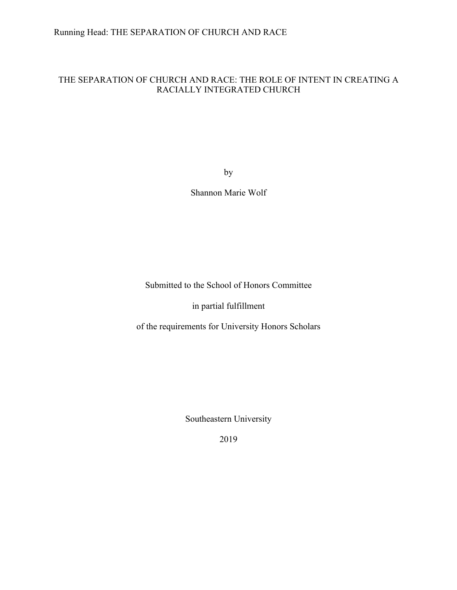### Running Head: THE SEPARATION OF CHURCH AND RACE

### THE SEPARATION OF CHURCH AND RACE: THE ROLE OF INTENT IN CREATING A RACIALLY INTEGRATED CHURCH

by

Shannon Marie Wolf

Submitted to the School of Honors Committee

in partial fulfillment

of the requirements for University Honors Scholars

Southeastern University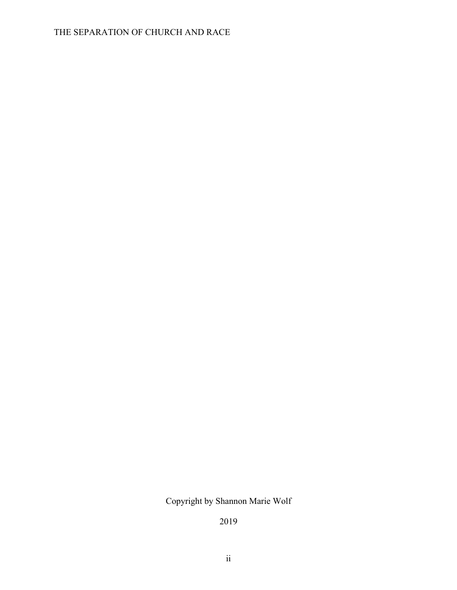Copyright by Shannon Marie Wolf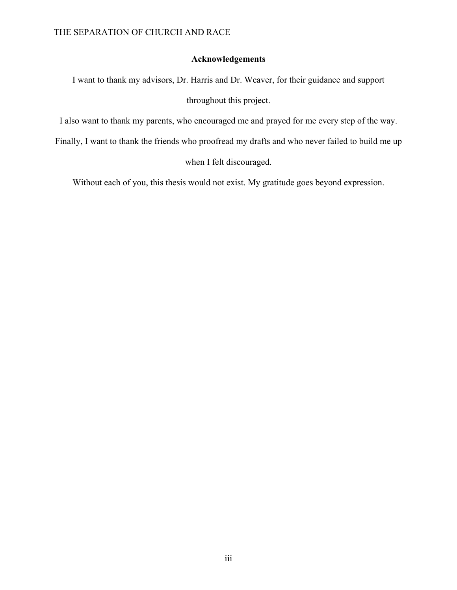### **Acknowledgements**

I want to thank my advisors, Dr. Harris and Dr. Weaver, for their guidance and support

throughout this project.

I also want to thank my parents, who encouraged me and prayed for me every step of the way.

Finally, I want to thank the friends who proofread my drafts and who never failed to build me up

when I felt discouraged.

Without each of you, this thesis would not exist. My gratitude goes beyond expression.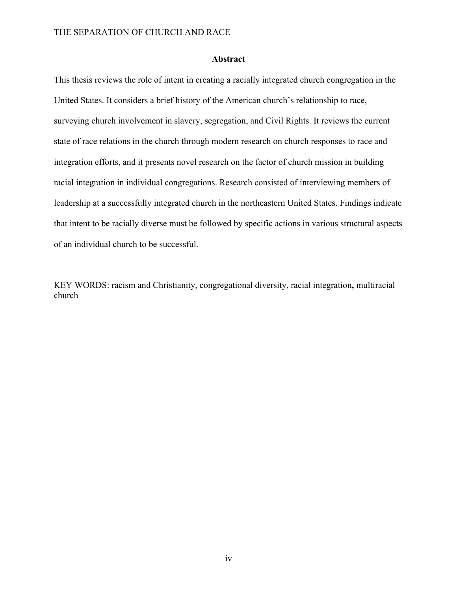#### **Abstract**

This thesis reviews the role of intent in creating a racially integrated church congregation in the United States. It considers a brief history of the American church's relationship to race, surveying church involvement in slavery, segregation, and Civil Rights. It reviews the current state of race relations in the church through modern research on church responses to race and integration efforts, and it presents novel research on the factor of church mission in building racial integration in individual congregations. Research consisted of interviewing members of leadership at a successfully integrated church in the northeastern United States. Findings indicate that intent to be racially diverse must be followed by specific actions in various structural aspects of an individual church to be successful.

KEY WORDS: racism and Christianity, congregational diversity, racial integration**,** multiracial church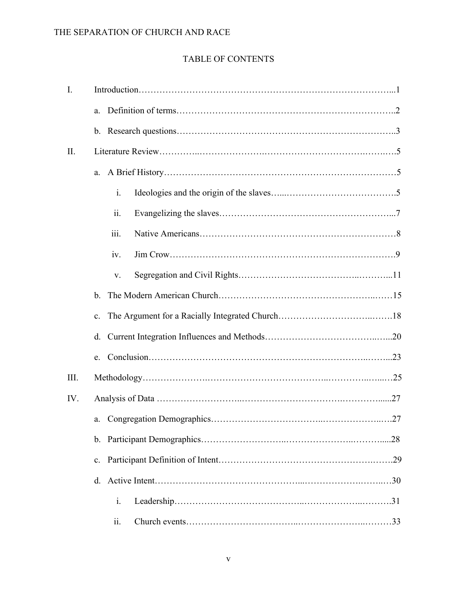# TABLE OF CONTENTS

| $\mathbf{I}$ . |                |                     |  |  |  |
|----------------|----------------|---------------------|--|--|--|
|                | a.             |                     |  |  |  |
|                |                |                     |  |  |  |
| II.            |                |                     |  |  |  |
|                | a.             |                     |  |  |  |
|                |                | $\mathbf{i}$ .      |  |  |  |
|                |                | $\ddot{\mathbf{i}}$ |  |  |  |
|                |                | iii.                |  |  |  |
|                |                | iv.                 |  |  |  |
|                |                | V.                  |  |  |  |
|                | $\mathbf{b}$ . |                     |  |  |  |
|                | $\mathbf{c}$ . |                     |  |  |  |
|                | d.             |                     |  |  |  |
|                | e.             |                     |  |  |  |
| III.           |                |                     |  |  |  |
| IV.            |                |                     |  |  |  |
|                |                |                     |  |  |  |
|                | $b_{-}$        |                     |  |  |  |
|                | $c_{\cdot}$    |                     |  |  |  |
|                | d.             |                     |  |  |  |
|                |                | $\mathbf{i}$ .      |  |  |  |
|                |                | 11.                 |  |  |  |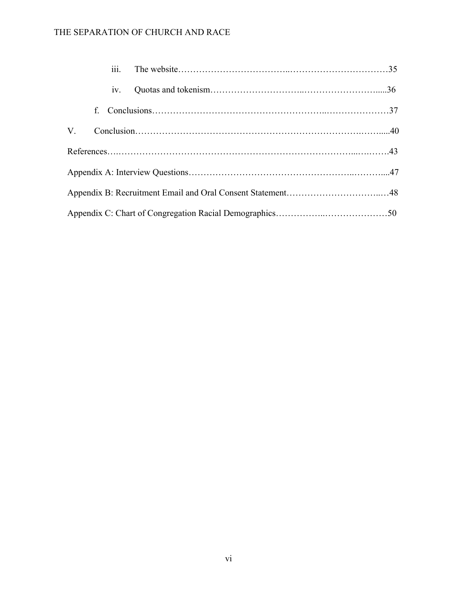|             |             | 1V <sub>1</sub> |  |  |  |  |  |
|-------------|-------------|-----------------|--|--|--|--|--|
|             | $f_{\cdot}$ |                 |  |  |  |  |  |
| $V_{\cdot}$ |             |                 |  |  |  |  |  |
|             |             |                 |  |  |  |  |  |
|             |             |                 |  |  |  |  |  |
|             |             |                 |  |  |  |  |  |
|             |             |                 |  |  |  |  |  |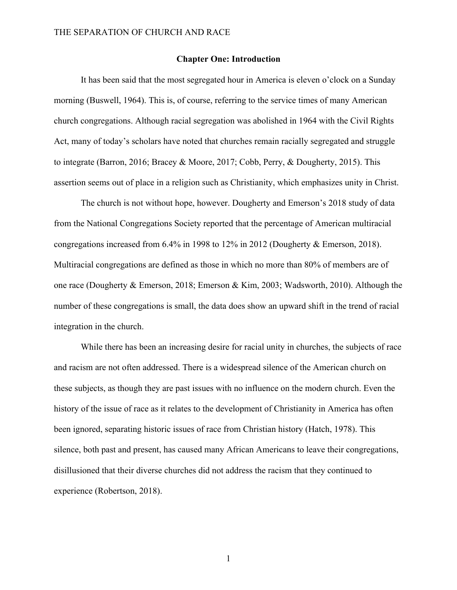#### **Chapter One: Introduction**

It has been said that the most segregated hour in America is eleven o'clock on a Sunday morning (Buswell, 1964). This is, of course, referring to the service times of many American church congregations. Although racial segregation was abolished in 1964 with the Civil Rights Act, many of today's scholars have noted that churches remain racially segregated and struggle to integrate (Barron, 2016; Bracey & Moore, 2017; Cobb, Perry, & Dougherty, 2015). This assertion seems out of place in a religion such as Christianity, which emphasizes unity in Christ.

The church is not without hope, however. Dougherty and Emerson's 2018 study of data from the National Congregations Society reported that the percentage of American multiracial congregations increased from 6.4% in 1998 to 12% in 2012 (Dougherty & Emerson, 2018). Multiracial congregations are defined as those in which no more than 80% of members are of one race (Dougherty & Emerson, 2018; Emerson & Kim, 2003; Wadsworth, 2010). Although the number of these congregations is small, the data does show an upward shift in the trend of racial integration in the church.

While there has been an increasing desire for racial unity in churches, the subjects of race and racism are not often addressed. There is a widespread silence of the American church on these subjects, as though they are past issues with no influence on the modern church. Even the history of the issue of race as it relates to the development of Christianity in America has often been ignored, separating historic issues of race from Christian history (Hatch, 1978). This silence, both past and present, has caused many African Americans to leave their congregations, disillusioned that their diverse churches did not address the racism that they continued to experience (Robertson, 2018).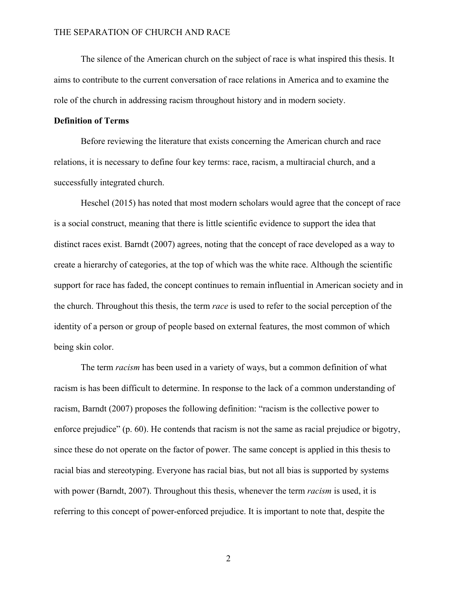The silence of the American church on the subject of race is what inspired this thesis. It aims to contribute to the current conversation of race relations in America and to examine the role of the church in addressing racism throughout history and in modern society.

#### **Definition of Terms**

Before reviewing the literature that exists concerning the American church and race relations, it is necessary to define four key terms: race, racism, a multiracial church, and a successfully integrated church.

Heschel (2015) has noted that most modern scholars would agree that the concept of race is a social construct, meaning that there is little scientific evidence to support the idea that distinct races exist. Barndt (2007) agrees, noting that the concept of race developed as a way to create a hierarchy of categories, at the top of which was the white race. Although the scientific support for race has faded, the concept continues to remain influential in American society and in the church. Throughout this thesis, the term *race* is used to refer to the social perception of the identity of a person or group of people based on external features, the most common of which being skin color.

The term *racism* has been used in a variety of ways, but a common definition of what racism is has been difficult to determine. In response to the lack of a common understanding of racism, Barndt (2007) proposes the following definition: "racism is the collective power to enforce prejudice" (p. 60). He contends that racism is not the same as racial prejudice or bigotry, since these do not operate on the factor of power. The same concept is applied in this thesis to racial bias and stereotyping. Everyone has racial bias, but not all bias is supported by systems with power (Barndt, 2007). Throughout this thesis, whenever the term *racism* is used, it is referring to this concept of power-enforced prejudice. It is important to note that, despite the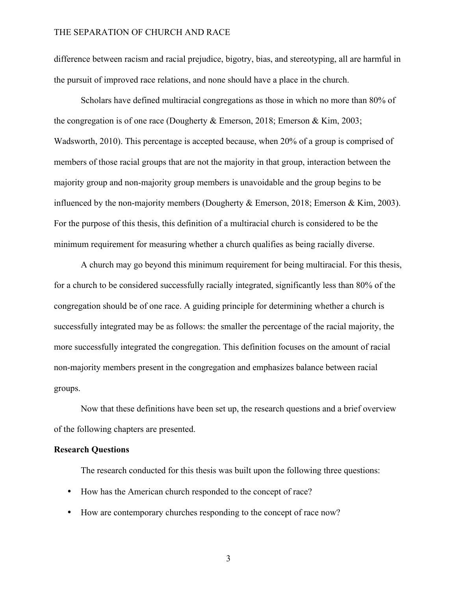difference between racism and racial prejudice, bigotry, bias, and stereotyping, all are harmful in the pursuit of improved race relations, and none should have a place in the church.

Scholars have defined multiracial congregations as those in which no more than 80% of the congregation is of one race (Dougherty & Emerson, 2018; Emerson & Kim, 2003; Wadsworth, 2010). This percentage is accepted because, when 20% of a group is comprised of members of those racial groups that are not the majority in that group, interaction between the majority group and non-majority group members is unavoidable and the group begins to be influenced by the non-majority members (Dougherty & Emerson, 2018; Emerson & Kim, 2003). For the purpose of this thesis, this definition of a multiracial church is considered to be the minimum requirement for measuring whether a church qualifies as being racially diverse.

A church may go beyond this minimum requirement for being multiracial. For this thesis, for a church to be considered successfully racially integrated, significantly less than 80% of the congregation should be of one race. A guiding principle for determining whether a church is successfully integrated may be as follows: the smaller the percentage of the racial majority, the more successfully integrated the congregation. This definition focuses on the amount of racial non-majority members present in the congregation and emphasizes balance between racial groups.

Now that these definitions have been set up, the research questions and a brief overview of the following chapters are presented.

#### **Research Questions**

The research conducted for this thesis was built upon the following three questions:

- How has the American church responded to the concept of race?
- How are contemporary churches responding to the concept of race now?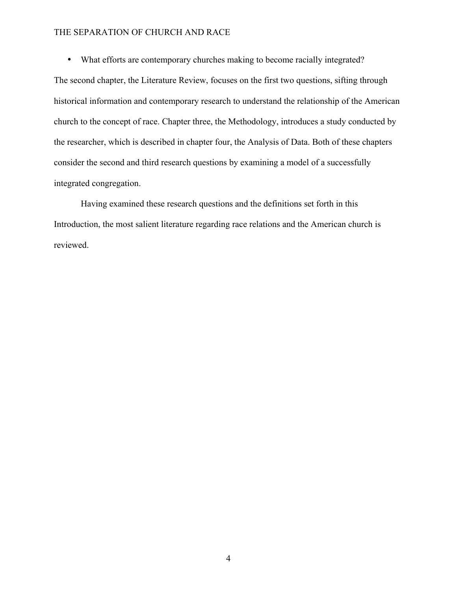• What efforts are contemporary churches making to become racially integrated?

The second chapter, the Literature Review, focuses on the first two questions, sifting through historical information and contemporary research to understand the relationship of the American church to the concept of race. Chapter three, the Methodology, introduces a study conducted by the researcher, which is described in chapter four, the Analysis of Data. Both of these chapters consider the second and third research questions by examining a model of a successfully integrated congregation.

Having examined these research questions and the definitions set forth in this Introduction, the most salient literature regarding race relations and the American church is reviewed.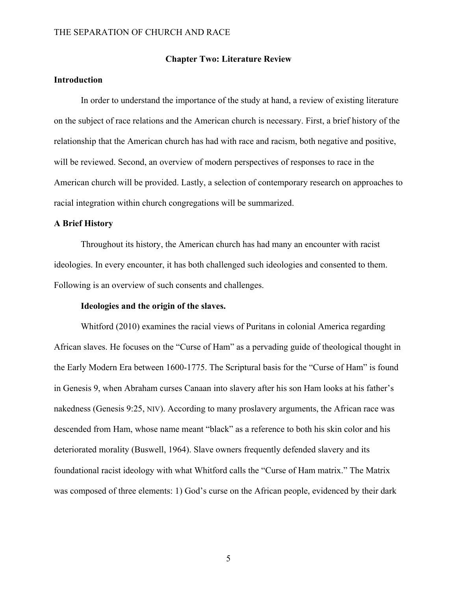#### **Chapter Two: Literature Review**

#### **Introduction**

In order to understand the importance of the study at hand, a review of existing literature on the subject of race relations and the American church is necessary. First, a brief history of the relationship that the American church has had with race and racism, both negative and positive, will be reviewed. Second, an overview of modern perspectives of responses to race in the American church will be provided. Lastly, a selection of contemporary research on approaches to racial integration within church congregations will be summarized.

#### **A Brief History**

Throughout its history, the American church has had many an encounter with racist ideologies. In every encounter, it has both challenged such ideologies and consented to them. Following is an overview of such consents and challenges.

#### **Ideologies and the origin of the slaves.**

Whitford (2010) examines the racial views of Puritans in colonial America regarding African slaves. He focuses on the "Curse of Ham" as a pervading guide of theological thought in the Early Modern Era between 1600-1775. The Scriptural basis for the "Curse of Ham" is found in Genesis 9, when Abraham curses Canaan into slavery after his son Ham looks at his father's nakedness (Genesis 9:25, NIV). According to many proslavery arguments, the African race was descended from Ham, whose name meant "black" as a reference to both his skin color and his deteriorated morality (Buswell, 1964). Slave owners frequently defended slavery and its foundational racist ideology with what Whitford calls the "Curse of Ham matrix." The Matrix was composed of three elements: 1) God's curse on the African people, evidenced by their dark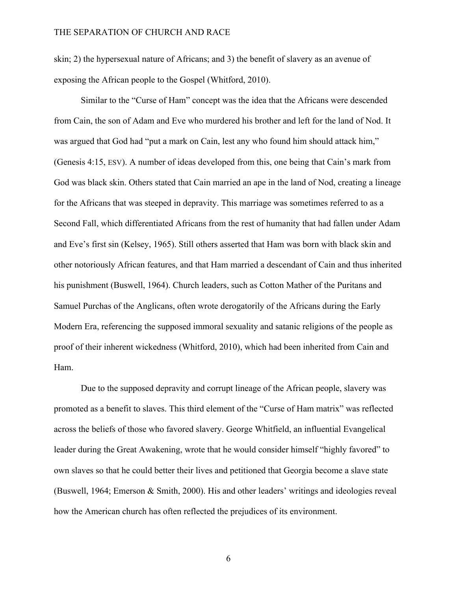skin; 2) the hypersexual nature of Africans; and 3) the benefit of slavery as an avenue of exposing the African people to the Gospel (Whitford, 2010).

Similar to the "Curse of Ham" concept was the idea that the Africans were descended from Cain, the son of Adam and Eve who murdered his brother and left for the land of Nod. It was argued that God had "put a mark on Cain, lest any who found him should attack him," (Genesis 4:15, ESV). A number of ideas developed from this, one being that Cain's mark from God was black skin. Others stated that Cain married an ape in the land of Nod, creating a lineage for the Africans that was steeped in depravity. This marriage was sometimes referred to as a Second Fall, which differentiated Africans from the rest of humanity that had fallen under Adam and Eve's first sin (Kelsey, 1965). Still others asserted that Ham was born with black skin and other notoriously African features, and that Ham married a descendant of Cain and thus inherited his punishment (Buswell, 1964). Church leaders, such as Cotton Mather of the Puritans and Samuel Purchas of the Anglicans, often wrote derogatorily of the Africans during the Early Modern Era, referencing the supposed immoral sexuality and satanic religions of the people as proof of their inherent wickedness (Whitford, 2010), which had been inherited from Cain and Ham.

Due to the supposed depravity and corrupt lineage of the African people, slavery was promoted as a benefit to slaves. This third element of the "Curse of Ham matrix" was reflected across the beliefs of those who favored slavery. George Whitfield, an influential Evangelical leader during the Great Awakening, wrote that he would consider himself "highly favored" to own slaves so that he could better their lives and petitioned that Georgia become a slave state (Buswell, 1964; Emerson & Smith, 2000). His and other leaders' writings and ideologies reveal how the American church has often reflected the prejudices of its environment.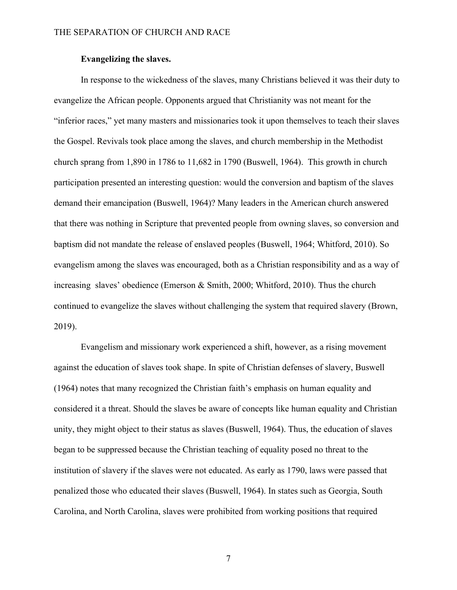#### **Evangelizing the slaves.**

In response to the wickedness of the slaves, many Christians believed it was their duty to evangelize the African people. Opponents argued that Christianity was not meant for the "inferior races," yet many masters and missionaries took it upon themselves to teach their slaves the Gospel. Revivals took place among the slaves, and church membership in the Methodist church sprang from 1,890 in 1786 to 11,682 in 1790 (Buswell, 1964). This growth in church participation presented an interesting question: would the conversion and baptism of the slaves demand their emancipation (Buswell, 1964)? Many leaders in the American church answered that there was nothing in Scripture that prevented people from owning slaves, so conversion and baptism did not mandate the release of enslaved peoples (Buswell, 1964; Whitford, 2010). So evangelism among the slaves was encouraged, both as a Christian responsibility and as a way of increasing slaves' obedience (Emerson & Smith, 2000; Whitford, 2010). Thus the church continued to evangelize the slaves without challenging the system that required slavery (Brown, 2019).

Evangelism and missionary work experienced a shift, however, as a rising movement against the education of slaves took shape. In spite of Christian defenses of slavery, Buswell (1964) notes that many recognized the Christian faith's emphasis on human equality and considered it a threat. Should the slaves be aware of concepts like human equality and Christian unity, they might object to their status as slaves (Buswell, 1964). Thus, the education of slaves began to be suppressed because the Christian teaching of equality posed no threat to the institution of slavery if the slaves were not educated. As early as 1790, laws were passed that penalized those who educated their slaves (Buswell, 1964). In states such as Georgia, South Carolina, and North Carolina, slaves were prohibited from working positions that required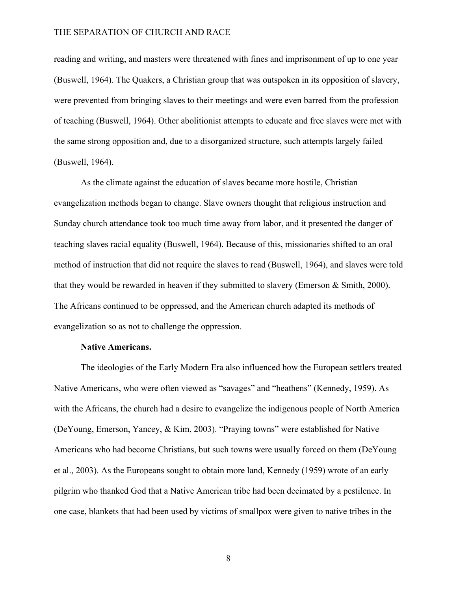reading and writing, and masters were threatened with fines and imprisonment of up to one year (Buswell, 1964). The Quakers, a Christian group that was outspoken in its opposition of slavery, were prevented from bringing slaves to their meetings and were even barred from the profession of teaching (Buswell, 1964). Other abolitionist attempts to educate and free slaves were met with the same strong opposition and, due to a disorganized structure, such attempts largely failed (Buswell, 1964).

As the climate against the education of slaves became more hostile, Christian evangelization methods began to change. Slave owners thought that religious instruction and Sunday church attendance took too much time away from labor, and it presented the danger of teaching slaves racial equality (Buswell, 1964). Because of this, missionaries shifted to an oral method of instruction that did not require the slaves to read (Buswell, 1964), and slaves were told that they would be rewarded in heaven if they submitted to slavery (Emerson  $\&$  Smith, 2000). The Africans continued to be oppressed, and the American church adapted its methods of evangelization so as not to challenge the oppression.

#### **Native Americans.**

The ideologies of the Early Modern Era also influenced how the European settlers treated Native Americans, who were often viewed as "savages" and "heathens" (Kennedy, 1959). As with the Africans, the church had a desire to evangelize the indigenous people of North America (DeYoung, Emerson, Yancey, & Kim, 2003). "Praying towns" were established for Native Americans who had become Christians, but such towns were usually forced on them (DeYoung et al., 2003). As the Europeans sought to obtain more land, Kennedy (1959) wrote of an early pilgrim who thanked God that a Native American tribe had been decimated by a pestilence. In one case, blankets that had been used by victims of smallpox were given to native tribes in the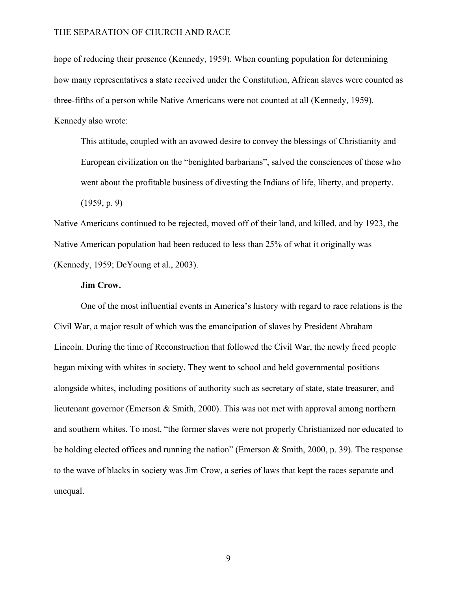hope of reducing their presence (Kennedy, 1959). When counting population for determining how many representatives a state received under the Constitution, African slaves were counted as three-fifths of a person while Native Americans were not counted at all (Kennedy, 1959). Kennedy also wrote:

This attitude, coupled with an avowed desire to convey the blessings of Christianity and European civilization on the "benighted barbarians", salved the consciences of those who went about the profitable business of divesting the Indians of life, liberty, and property.

(1959, p. 9)

Native Americans continued to be rejected, moved off of their land, and killed, and by 1923, the Native American population had been reduced to less than 25% of what it originally was (Kennedy, 1959; DeYoung et al., 2003).

#### **Jim Crow.**

One of the most influential events in America's history with regard to race relations is the Civil War, a major result of which was the emancipation of slaves by President Abraham Lincoln. During the time of Reconstruction that followed the Civil War, the newly freed people began mixing with whites in society. They went to school and held governmental positions alongside whites, including positions of authority such as secretary of state, state treasurer, and lieutenant governor (Emerson & Smith, 2000). This was not met with approval among northern and southern whites. To most, "the former slaves were not properly Christianized nor educated to be holding elected offices and running the nation" (Emerson & Smith, 2000, p. 39). The response to the wave of blacks in society was Jim Crow, a series of laws that kept the races separate and unequal.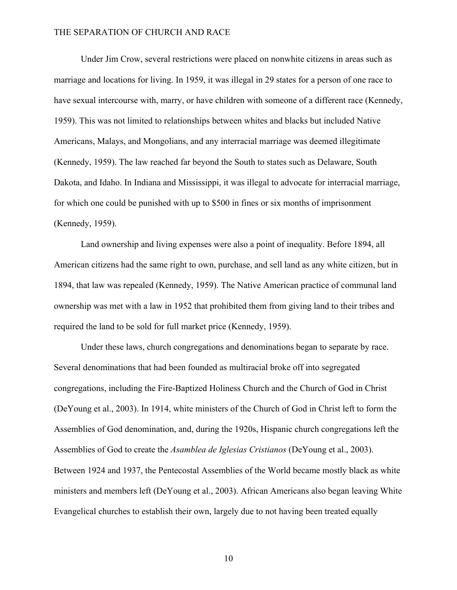Under Jim Crow, several restrictions were placed on nonwhite citizens in areas such as marriage and locations for living. In 1959, it was illegal in 29 states for a person of one race to have sexual intercourse with, marry, or have children with someone of a different race (Kennedy, 1959). This was not limited to relationships between whites and blacks but included Native Americans, Malays, and Mongolians, and any interracial marriage was deemed illegitimate (Kennedy, 1959). The law reached far beyond the South to states such as Delaware, South Dakota, and Idaho. In Indiana and Mississippi, it was illegal to advocate for interracial marriage, for which one could be punished with up to \$500 in fines or six months of imprisonment (Kennedy, 1959).

Land ownership and living expenses were also a point of inequality. Before 1894, all American citizens had the same right to own, purchase, and sell land as any white citizen, but in 1894, that law was repealed (Kennedy, 1959). The Native American practice of communal land ownership was met with a law in 1952 that prohibited them from giving land to their tribes and required the land to be sold for full market price (Kennedy, 1959).

Under these laws, church congregations and denominations began to separate by race. Several denominations that had been founded as multiracial broke off into segregated congregations, including the Fire-Baptized Holiness Church and the Church of God in Christ (DeYoung et al., 2003). In 1914, white ministers of the Church of God in Christ left to form the Assemblies of God denomination, and, during the 1920s, Hispanic church congregations left the Assemblies of God to create the *Asamblea de Iglesias Cristianos* (DeYoung et al., 2003). Between 1924 and 1937, the Pentecostal Assemblies of the World became mostly black as white ministers and members left (DeYoung et al., 2003). African Americans also began leaving White Evangelical churches to establish their own, largely due to not having been treated equally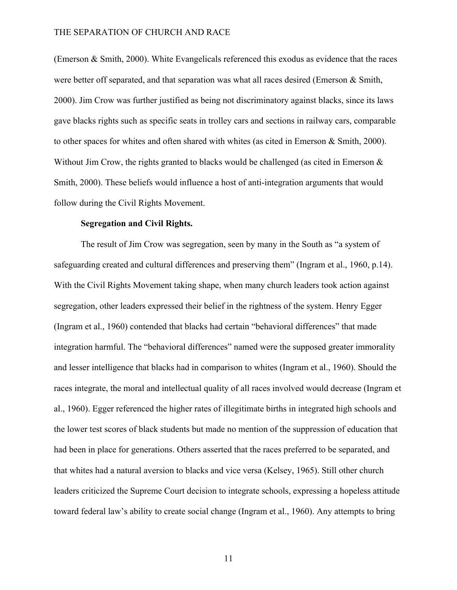(Emerson & Smith, 2000). White Evangelicals referenced this exodus as evidence that the races were better off separated, and that separation was what all races desired (Emerson & Smith, 2000). Jim Crow was further justified as being not discriminatory against blacks, since its laws gave blacks rights such as specific seats in trolley cars and sections in railway cars, comparable to other spaces for whites and often shared with whites (as cited in Emerson & Smith, 2000). Without Jim Crow, the rights granted to blacks would be challenged (as cited in Emerson  $\&$ Smith, 2000). These beliefs would influence a host of anti-integration arguments that would follow during the Civil Rights Movement.

#### **Segregation and Civil Rights.**

The result of Jim Crow was segregation, seen by many in the South as "a system of safeguarding created and cultural differences and preserving them" (Ingram et al., 1960, p.14). With the Civil Rights Movement taking shape, when many church leaders took action against segregation, other leaders expressed their belief in the rightness of the system. Henry Egger (Ingram et al., 1960) contended that blacks had certain "behavioral differences" that made integration harmful. The "behavioral differences" named were the supposed greater immorality and lesser intelligence that blacks had in comparison to whites (Ingram et al., 1960). Should the races integrate, the moral and intellectual quality of all races involved would decrease (Ingram et al., 1960). Egger referenced the higher rates of illegitimate births in integrated high schools and the lower test scores of black students but made no mention of the suppression of education that had been in place for generations. Others asserted that the races preferred to be separated, and that whites had a natural aversion to blacks and vice versa (Kelsey, 1965). Still other church leaders criticized the Supreme Court decision to integrate schools, expressing a hopeless attitude toward federal law's ability to create social change (Ingram et al., 1960). Any attempts to bring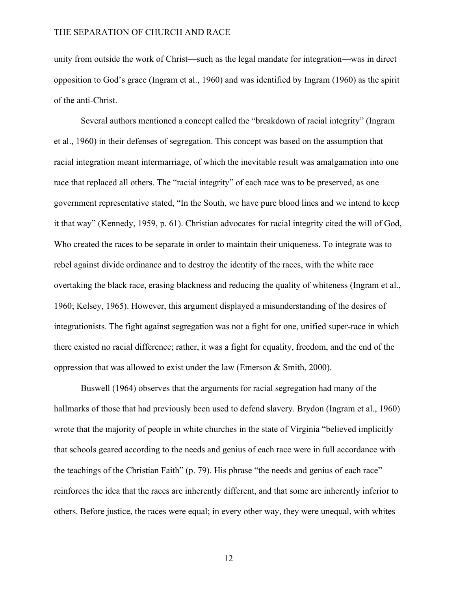unity from outside the work of Christ—such as the legal mandate for integration—was in direct opposition to God's grace (Ingram et al., 1960) and was identified by Ingram (1960) as the spirit of the anti-Christ.

Several authors mentioned a concept called the "breakdown of racial integrity" (Ingram et al., 1960) in their defenses of segregation. This concept was based on the assumption that racial integration meant intermarriage, of which the inevitable result was amalgamation into one race that replaced all others. The "racial integrity" of each race was to be preserved, as one government representative stated, "In the South, we have pure blood lines and we intend to keep it that way" (Kennedy, 1959, p. 61). Christian advocates for racial integrity cited the will of God, Who created the races to be separate in order to maintain their uniqueness. To integrate was to rebel against divide ordinance and to destroy the identity of the races, with the white race overtaking the black race, erasing blackness and reducing the quality of whiteness (Ingram et al., 1960; Kelsey, 1965). However, this argument displayed a misunderstanding of the desires of integrationists. The fight against segregation was not a fight for one, unified super-race in which there existed no racial difference; rather, it was a fight for equality, freedom, and the end of the oppression that was allowed to exist under the law (Emerson & Smith, 2000).

Buswell (1964) observes that the arguments for racial segregation had many of the hallmarks of those that had previously been used to defend slavery. Brydon (Ingram et al., 1960) wrote that the majority of people in white churches in the state of Virginia "believed implicitly that schools geared according to the needs and genius of each race were in full accordance with the teachings of the Christian Faith" (p. 79). His phrase "the needs and genius of each race" reinforces the idea that the races are inherently different, and that some are inherently inferior to others. Before justice, the races were equal; in every other way, they were unequal, with whites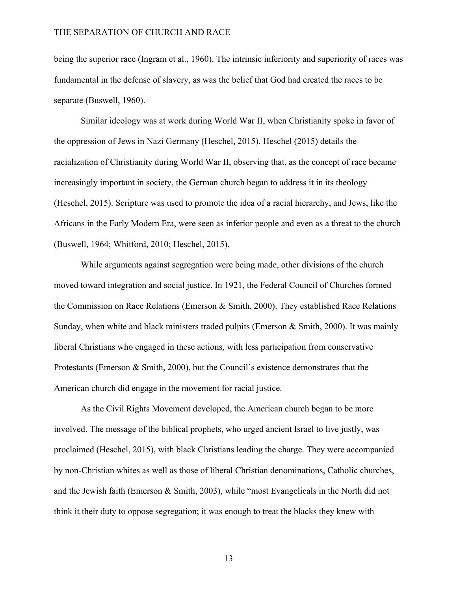being the superior race (Ingram et al., 1960). The intrinsic inferiority and superiority of races was fundamental in the defense of slavery, as was the belief that God had created the races to be separate (Buswell, 1960).

Similar ideology was at work during World War II, when Christianity spoke in favor of the oppression of Jews in Nazi Germany (Heschel, 2015). Heschel (2015) details the racialization of Christianity during World War II, observing that, as the concept of race became increasingly important in society, the German church began to address it in its theology (Heschel, 2015). Scripture was used to promote the idea of a racial hierarchy, and Jews, like the Africans in the Early Modern Era, were seen as inferior people and even as a threat to the church (Buswell, 1964; Whitford, 2010; Heschel, 2015).

While arguments against segregation were being made, other divisions of the church moved toward integration and social justice. In 1921, the Federal Council of Churches formed the Commission on Race Relations (Emerson & Smith, 2000). They established Race Relations Sunday, when white and black ministers traded pulpits (Emerson  $\&$  Smith, 2000). It was mainly liberal Christians who engaged in these actions, with less participation from conservative Protestants (Emerson & Smith, 2000), but the Council's existence demonstrates that the American church did engage in the movement for racial justice.

As the Civil Rights Movement developed, the American church began to be more involved. The message of the biblical prophets, who urged ancient Israel to live justly, was proclaimed (Heschel, 2015), with black Christians leading the charge. They were accompanied by non-Christian whites as well as those of liberal Christian denominations, Catholic churches, and the Jewish faith (Emerson & Smith, 2003), while "most Evangelicals in the North did not think it their duty to oppose segregation; it was enough to treat the blacks they knew with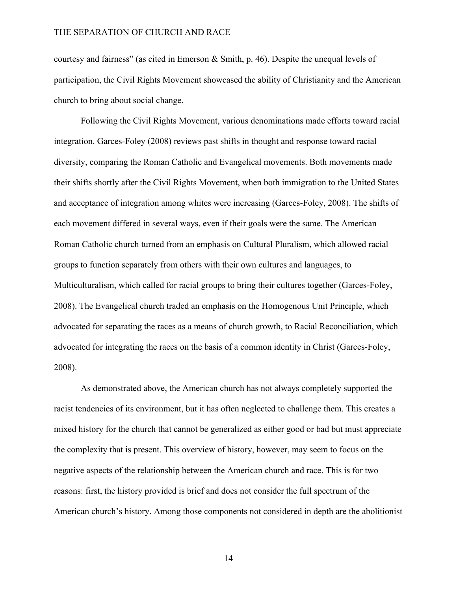courtesy and fairness" (as cited in Emerson & Smith, p. 46). Despite the unequal levels of participation, the Civil Rights Movement showcased the ability of Christianity and the American church to bring about social change.

Following the Civil Rights Movement, various denominations made efforts toward racial integration. Garces-Foley (2008) reviews past shifts in thought and response toward racial diversity, comparing the Roman Catholic and Evangelical movements. Both movements made their shifts shortly after the Civil Rights Movement, when both immigration to the United States and acceptance of integration among whites were increasing (Garces-Foley, 2008). The shifts of each movement differed in several ways, even if their goals were the same. The American Roman Catholic church turned from an emphasis on Cultural Pluralism, which allowed racial groups to function separately from others with their own cultures and languages, to Multiculturalism, which called for racial groups to bring their cultures together (Garces-Foley, 2008). The Evangelical church traded an emphasis on the Homogenous Unit Principle, which advocated for separating the races as a means of church growth, to Racial Reconciliation, which advocated for integrating the races on the basis of a common identity in Christ (Garces-Foley, 2008).

As demonstrated above, the American church has not always completely supported the racist tendencies of its environment, but it has often neglected to challenge them. This creates a mixed history for the church that cannot be generalized as either good or bad but must appreciate the complexity that is present. This overview of history, however, may seem to focus on the negative aspects of the relationship between the American church and race. This is for two reasons: first, the history provided is brief and does not consider the full spectrum of the American church's history. Among those components not considered in depth are the abolitionist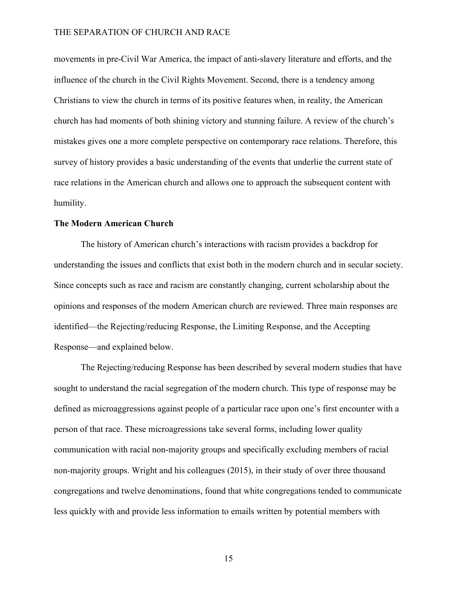movements in pre-Civil War America, the impact of anti-slavery literature and efforts, and the influence of the church in the Civil Rights Movement. Second, there is a tendency among Christians to view the church in terms of its positive features when, in reality, the American church has had moments of both shining victory and stunning failure. A review of the church's mistakes gives one a more complete perspective on contemporary race relations. Therefore, this survey of history provides a basic understanding of the events that underlie the current state of race relations in the American church and allows one to approach the subsequent content with humility.

#### **The Modern American Church**

The history of American church's interactions with racism provides a backdrop for understanding the issues and conflicts that exist both in the modern church and in secular society. Since concepts such as race and racism are constantly changing, current scholarship about the opinions and responses of the modern American church are reviewed. Three main responses are identified—the Rejecting/reducing Response, the Limiting Response, and the Accepting Response—and explained below.

The Rejecting/reducing Response has been described by several modern studies that have sought to understand the racial segregation of the modern church. This type of response may be defined as microaggressions against people of a particular race upon one's first encounter with a person of that race. These microagressions take several forms, including lower quality communication with racial non-majority groups and specifically excluding members of racial non-majority groups. Wright and his colleagues (2015), in their study of over three thousand congregations and twelve denominations, found that white congregations tended to communicate less quickly with and provide less information to emails written by potential members with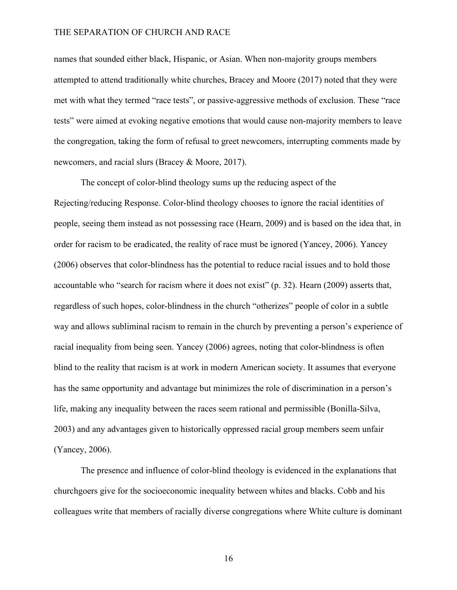names that sounded either black, Hispanic, or Asian. When non-majority groups members attempted to attend traditionally white churches, Bracey and Moore (2017) noted that they were met with what they termed "race tests", or passive-aggressive methods of exclusion. These "race tests" were aimed at evoking negative emotions that would cause non-majority members to leave the congregation, taking the form of refusal to greet newcomers, interrupting comments made by newcomers, and racial slurs (Bracey & Moore, 2017).

The concept of color-blind theology sums up the reducing aspect of the Rejecting/reducing Response. Color-blind theology chooses to ignore the racial identities of people, seeing them instead as not possessing race (Hearn, 2009) and is based on the idea that, in order for racism to be eradicated, the reality of race must be ignored (Yancey, 2006). Yancey (2006) observes that color-blindness has the potential to reduce racial issues and to hold those accountable who "search for racism where it does not exist" (p. 32). Hearn (2009) asserts that, regardless of such hopes, color-blindness in the church "otherizes" people of color in a subtle way and allows subliminal racism to remain in the church by preventing a person's experience of racial inequality from being seen. Yancey (2006) agrees, noting that color-blindness is often blind to the reality that racism is at work in modern American society. It assumes that everyone has the same opportunity and advantage but minimizes the role of discrimination in a person's life, making any inequality between the races seem rational and permissible (Bonilla-Silva, 2003) and any advantages given to historically oppressed racial group members seem unfair (Yancey, 2006).

The presence and influence of color-blind theology is evidenced in the explanations that churchgoers give for the socioeconomic inequality between whites and blacks. Cobb and his colleagues write that members of racially diverse congregations where White culture is dominant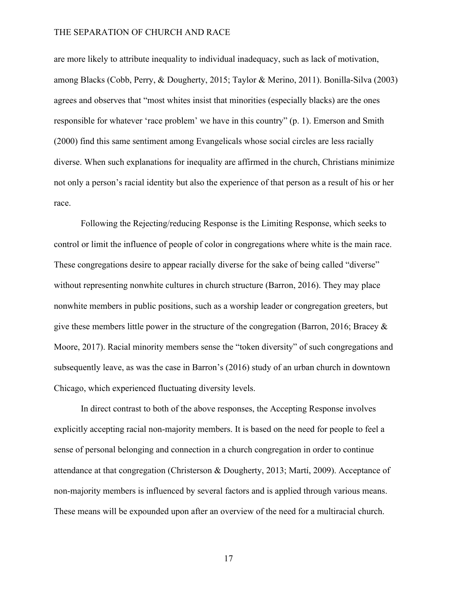are more likely to attribute inequality to individual inadequacy, such as lack of motivation, among Blacks (Cobb, Perry, & Dougherty, 2015; Taylor & Merino, 2011). Bonilla-Silva (2003) agrees and observes that "most whites insist that minorities (especially blacks) are the ones responsible for whatever 'race problem' we have in this country" (p. 1). Emerson and Smith (2000) find this same sentiment among Evangelicals whose social circles are less racially diverse. When such explanations for inequality are affirmed in the church, Christians minimize not only a person's racial identity but also the experience of that person as a result of his or her race.

Following the Rejecting/reducing Response is the Limiting Response, which seeks to control or limit the influence of people of color in congregations where white is the main race. These congregations desire to appear racially diverse for the sake of being called "diverse" without representing nonwhite cultures in church structure (Barron, 2016). They may place nonwhite members in public positions, such as a worship leader or congregation greeters, but give these members little power in the structure of the congregation (Barron, 2016; Bracey & Moore, 2017). Racial minority members sense the "token diversity" of such congregations and subsequently leave, as was the case in Barron's (2016) study of an urban church in downtown Chicago, which experienced fluctuating diversity levels.

In direct contrast to both of the above responses, the Accepting Response involves explicitly accepting racial non-majority members. It is based on the need for people to feel a sense of personal belonging and connection in a church congregation in order to continue attendance at that congregation (Christerson & Dougherty, 2013; Martí, 2009). Acceptance of non-majority members is influenced by several factors and is applied through various means. These means will be expounded upon after an overview of the need for a multiracial church.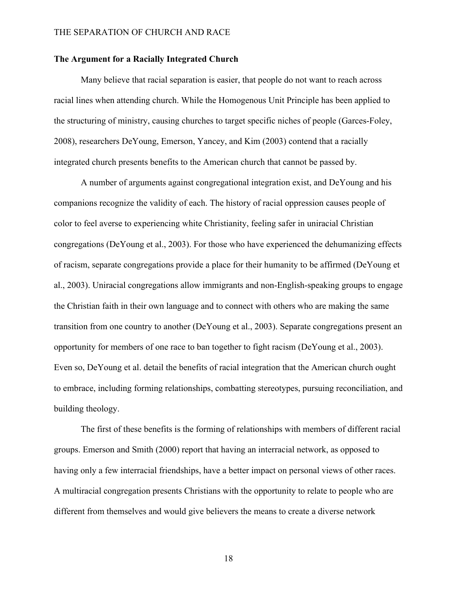#### **The Argument for a Racially Integrated Church**

Many believe that racial separation is easier, that people do not want to reach across racial lines when attending church. While the Homogenous Unit Principle has been applied to the structuring of ministry, causing churches to target specific niches of people (Garces-Foley, 2008), researchers DeYoung, Emerson, Yancey, and Kim (2003) contend that a racially integrated church presents benefits to the American church that cannot be passed by.

A number of arguments against congregational integration exist, and DeYoung and his companions recognize the validity of each. The history of racial oppression causes people of color to feel averse to experiencing white Christianity, feeling safer in uniracial Christian congregations (DeYoung et al., 2003). For those who have experienced the dehumanizing effects of racism, separate congregations provide a place for their humanity to be affirmed (DeYoung et al., 2003). Uniracial congregations allow immigrants and non-English-speaking groups to engage the Christian faith in their own language and to connect with others who are making the same transition from one country to another (DeYoung et al., 2003). Separate congregations present an opportunity for members of one race to ban together to fight racism (DeYoung et al., 2003). Even so, DeYoung et al. detail the benefits of racial integration that the American church ought to embrace, including forming relationships, combatting stereotypes, pursuing reconciliation, and building theology.

The first of these benefits is the forming of relationships with members of different racial groups. Emerson and Smith (2000) report that having an interracial network, as opposed to having only a few interracial friendships, have a better impact on personal views of other races. A multiracial congregation presents Christians with the opportunity to relate to people who are different from themselves and would give believers the means to create a diverse network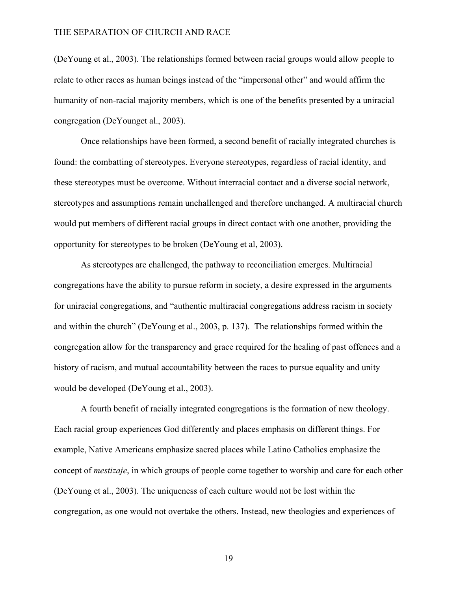(DeYoung et al., 2003). The relationships formed between racial groups would allow people to relate to other races as human beings instead of the "impersonal other" and would affirm the humanity of non-racial majority members, which is one of the benefits presented by a uniracial congregation (DeYounget al., 2003).

Once relationships have been formed, a second benefit of racially integrated churches is found: the combatting of stereotypes. Everyone stereotypes, regardless of racial identity, and these stereotypes must be overcome. Without interracial contact and a diverse social network, stereotypes and assumptions remain unchallenged and therefore unchanged. A multiracial church would put members of different racial groups in direct contact with one another, providing the opportunity for stereotypes to be broken (DeYoung et al, 2003).

As stereotypes are challenged, the pathway to reconciliation emerges. Multiracial congregations have the ability to pursue reform in society, a desire expressed in the arguments for uniracial congregations, and "authentic multiracial congregations address racism in society and within the church" (DeYoung et al., 2003, p. 137). The relationships formed within the congregation allow for the transparency and grace required for the healing of past offences and a history of racism, and mutual accountability between the races to pursue equality and unity would be developed (DeYoung et al., 2003).

A fourth benefit of racially integrated congregations is the formation of new theology. Each racial group experiences God differently and places emphasis on different things. For example, Native Americans emphasize sacred places while Latino Catholics emphasize the concept of *mestizaje*, in which groups of people come together to worship and care for each other (DeYoung et al., 2003). The uniqueness of each culture would not be lost within the congregation, as one would not overtake the others. Instead, new theologies and experiences of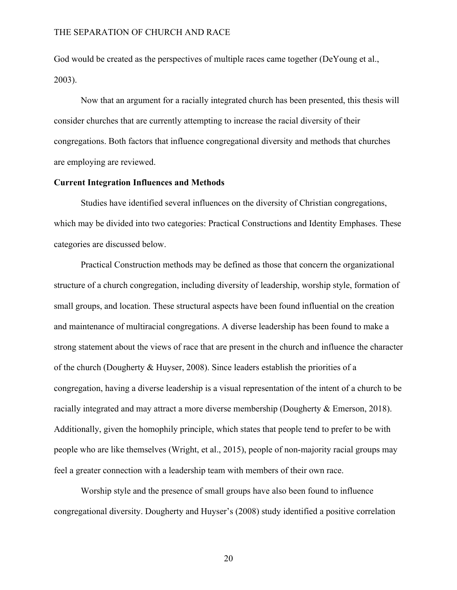God would be created as the perspectives of multiple races came together (DeYoung et al., 2003).

Now that an argument for a racially integrated church has been presented, this thesis will consider churches that are currently attempting to increase the racial diversity of their congregations. Both factors that influence congregational diversity and methods that churches are employing are reviewed.

#### **Current Integration Influences and Methods**

Studies have identified several influences on the diversity of Christian congregations, which may be divided into two categories: Practical Constructions and Identity Emphases. These categories are discussed below.

Practical Construction methods may be defined as those that concern the organizational structure of a church congregation, including diversity of leadership, worship style, formation of small groups, and location. These structural aspects have been found influential on the creation and maintenance of multiracial congregations. A diverse leadership has been found to make a strong statement about the views of race that are present in the church and influence the character of the church (Dougherty & Huyser, 2008). Since leaders establish the priorities of a congregation, having a diverse leadership is a visual representation of the intent of a church to be racially integrated and may attract a more diverse membership (Dougherty & Emerson, 2018). Additionally, given the homophily principle, which states that people tend to prefer to be with people who are like themselves (Wright, et al., 2015), people of non-majority racial groups may feel a greater connection with a leadership team with members of their own race.

Worship style and the presence of small groups have also been found to influence congregational diversity. Dougherty and Huyser's (2008) study identified a positive correlation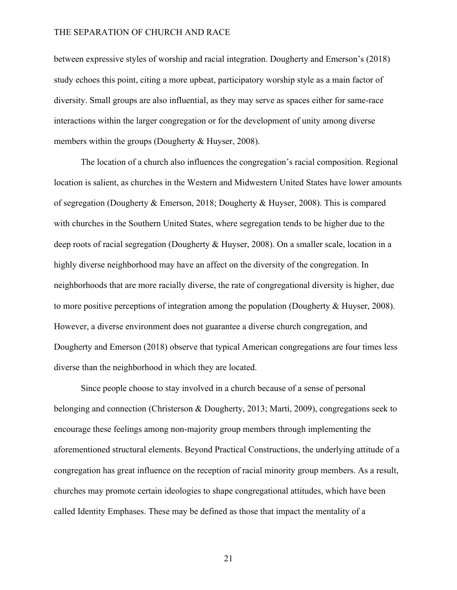between expressive styles of worship and racial integration. Dougherty and Emerson's (2018) study echoes this point, citing a more upbeat, participatory worship style as a main factor of diversity. Small groups are also influential, as they may serve as spaces either for same-race interactions within the larger congregation or for the development of unity among diverse members within the groups (Dougherty & Huyser, 2008).

The location of a church also influences the congregation's racial composition. Regional location is salient, as churches in the Western and Midwestern United States have lower amounts of segregation (Dougherty & Emerson, 2018; Dougherty & Huyser, 2008). This is compared with churches in the Southern United States, where segregation tends to be higher due to the deep roots of racial segregation (Dougherty & Huyser, 2008). On a smaller scale, location in a highly diverse neighborhood may have an affect on the diversity of the congregation. In neighborhoods that are more racially diverse, the rate of congregational diversity is higher, due to more positive perceptions of integration among the population (Dougherty & Huyser, 2008). However, a diverse environment does not guarantee a diverse church congregation, and Dougherty and Emerson (2018) observe that typical American congregations are four times less diverse than the neighborhood in which they are located.

Since people choose to stay involved in a church because of a sense of personal belonging and connection (Christerson & Dougherty, 2013; Martí, 2009), congregations seek to encourage these feelings among non-majority group members through implementing the aforementioned structural elements. Beyond Practical Constructions, the underlying attitude of a congregation has great influence on the reception of racial minority group members. As a result, churches may promote certain ideologies to shape congregational attitudes, which have been called Identity Emphases. These may be defined as those that impact the mentality of a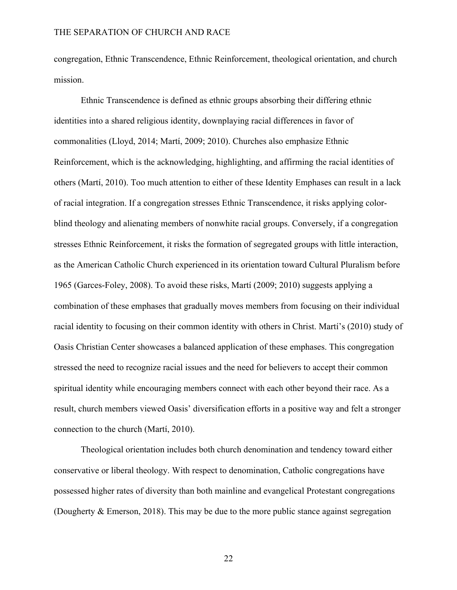congregation, Ethnic Transcendence, Ethnic Reinforcement, theological orientation, and church mission.

Ethnic Transcendence is defined as ethnic groups absorbing their differing ethnic identities into a shared religious identity, downplaying racial differences in favor of commonalities (Lloyd, 2014; Martí, 2009; 2010). Churches also emphasize Ethnic Reinforcement, which is the acknowledging, highlighting, and affirming the racial identities of others (Martí, 2010). Too much attention to either of these Identity Emphases can result in a lack of racial integration. If a congregation stresses Ethnic Transcendence, it risks applying colorblind theology and alienating members of nonwhite racial groups. Conversely, if a congregation stresses Ethnic Reinforcement, it risks the formation of segregated groups with little interaction, as the American Catholic Church experienced in its orientation toward Cultural Pluralism before 1965 (Garces-Foley, 2008). To avoid these risks, Martí (2009; 2010) suggests applying a combination of these emphases that gradually moves members from focusing on their individual racial identity to focusing on their common identity with others in Christ. Martí's (2010) study of Oasis Christian Center showcases a balanced application of these emphases. This congregation stressed the need to recognize racial issues and the need for believers to accept their common spiritual identity while encouraging members connect with each other beyond their race. As a result, church members viewed Oasis' diversification efforts in a positive way and felt a stronger connection to the church (Martí, 2010).

Theological orientation includes both church denomination and tendency toward either conservative or liberal theology. With respect to denomination, Catholic congregations have possessed higher rates of diversity than both mainline and evangelical Protestant congregations (Dougherty & Emerson, 2018). This may be due to the more public stance against segregation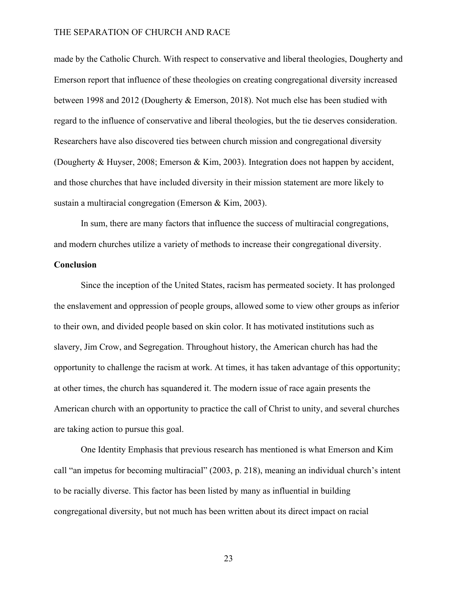made by the Catholic Church. With respect to conservative and liberal theologies, Dougherty and Emerson report that influence of these theologies on creating congregational diversity increased between 1998 and 2012 (Dougherty & Emerson, 2018). Not much else has been studied with regard to the influence of conservative and liberal theologies, but the tie deserves consideration. Researchers have also discovered ties between church mission and congregational diversity (Dougherty & Huyser, 2008; Emerson & Kim, 2003). Integration does not happen by accident, and those churches that have included diversity in their mission statement are more likely to sustain a multiracial congregation (Emerson & Kim, 2003).

In sum, there are many factors that influence the success of multiracial congregations, and modern churches utilize a variety of methods to increase their congregational diversity.

#### **Conclusion**

Since the inception of the United States, racism has permeated society. It has prolonged the enslavement and oppression of people groups, allowed some to view other groups as inferior to their own, and divided people based on skin color. It has motivated institutions such as slavery, Jim Crow, and Segregation. Throughout history, the American church has had the opportunity to challenge the racism at work. At times, it has taken advantage of this opportunity; at other times, the church has squandered it. The modern issue of race again presents the American church with an opportunity to practice the call of Christ to unity, and several churches are taking action to pursue this goal.

One Identity Emphasis that previous research has mentioned is what Emerson and Kim call "an impetus for becoming multiracial" (2003, p. 218), meaning an individual church's intent to be racially diverse. This factor has been listed by many as influential in building congregational diversity, but not much has been written about its direct impact on racial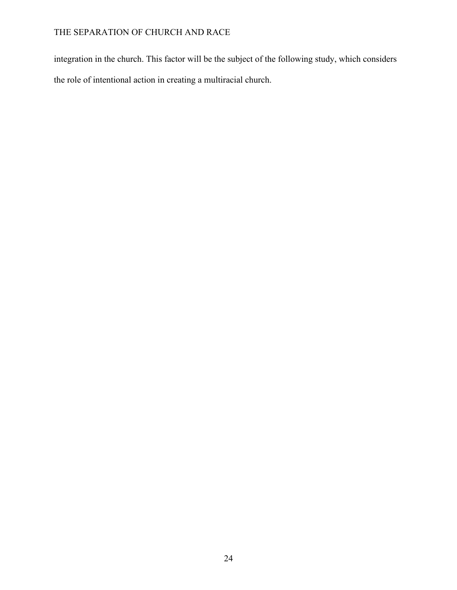integration in the church. This factor will be the subject of the following study, which considers the role of intentional action in creating a multiracial church.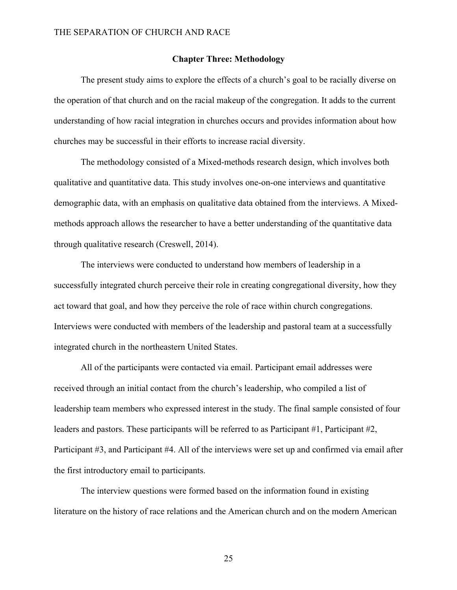#### **Chapter Three: Methodology**

The present study aims to explore the effects of a church's goal to be racially diverse on the operation of that church and on the racial makeup of the congregation. It adds to the current understanding of how racial integration in churches occurs and provides information about how churches may be successful in their efforts to increase racial diversity.

The methodology consisted of a Mixed-methods research design, which involves both qualitative and quantitative data. This study involves one-on-one interviews and quantitative demographic data, with an emphasis on qualitative data obtained from the interviews. A Mixedmethods approach allows the researcher to have a better understanding of the quantitative data through qualitative research (Creswell, 2014).

The interviews were conducted to understand how members of leadership in a successfully integrated church perceive their role in creating congregational diversity, how they act toward that goal, and how they perceive the role of race within church congregations. Interviews were conducted with members of the leadership and pastoral team at a successfully integrated church in the northeastern United States.

All of the participants were contacted via email. Participant email addresses were received through an initial contact from the church's leadership, who compiled a list of leadership team members who expressed interest in the study. The final sample consisted of four leaders and pastors. These participants will be referred to as Participant #1, Participant #2, Participant #3, and Participant #4. All of the interviews were set up and confirmed via email after the first introductory email to participants.

The interview questions were formed based on the information found in existing literature on the history of race relations and the American church and on the modern American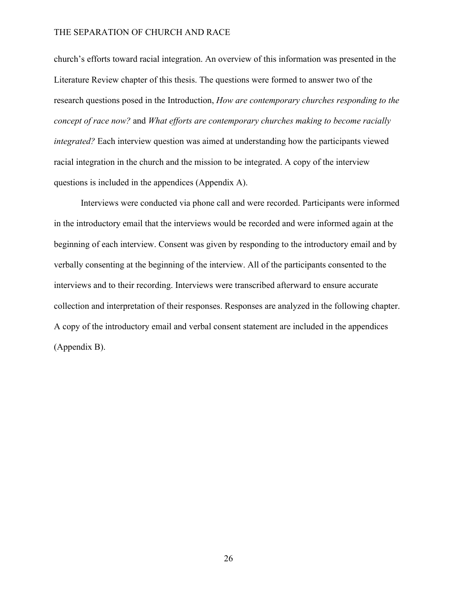church's efforts toward racial integration. An overview of this information was presented in the Literature Review chapter of this thesis. The questions were formed to answer two of the research questions posed in the Introduction, *How are contemporary churches responding to the concept of race now?* and *What efforts are contemporary churches making to become racially integrated?* Each interview question was aimed at understanding how the participants viewed racial integration in the church and the mission to be integrated. A copy of the interview questions is included in the appendices (Appendix A).

Interviews were conducted via phone call and were recorded. Participants were informed in the introductory email that the interviews would be recorded and were informed again at the beginning of each interview. Consent was given by responding to the introductory email and by verbally consenting at the beginning of the interview. All of the participants consented to the interviews and to their recording. Interviews were transcribed afterward to ensure accurate collection and interpretation of their responses. Responses are analyzed in the following chapter. A copy of the introductory email and verbal consent statement are included in the appendices (Appendix B).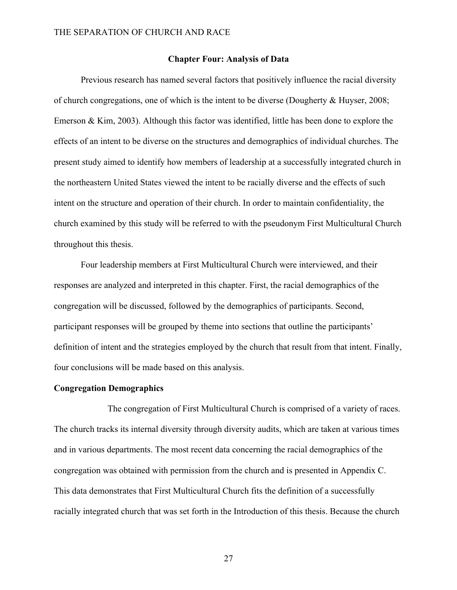#### **Chapter Four: Analysis of Data**

Previous research has named several factors that positively influence the racial diversity of church congregations, one of which is the intent to be diverse (Dougherty & Huyser, 2008; Emerson & Kim, 2003). Although this factor was identified, little has been done to explore the effects of an intent to be diverse on the structures and demographics of individual churches. The present study aimed to identify how members of leadership at a successfully integrated church in the northeastern United States viewed the intent to be racially diverse and the effects of such intent on the structure and operation of their church. In order to maintain confidentiality, the church examined by this study will be referred to with the pseudonym First Multicultural Church throughout this thesis.

Four leadership members at First Multicultural Church were interviewed, and their responses are analyzed and interpreted in this chapter. First, the racial demographics of the congregation will be discussed, followed by the demographics of participants. Second, participant responses will be grouped by theme into sections that outline the participants' definition of intent and the strategies employed by the church that result from that intent. Finally, four conclusions will be made based on this analysis.

#### **Congregation Demographics**

The congregation of First Multicultural Church is comprised of a variety of races. The church tracks its internal diversity through diversity audits, which are taken at various times and in various departments. The most recent data concerning the racial demographics of the congregation was obtained with permission from the church and is presented in Appendix C. This data demonstrates that First Multicultural Church fits the definition of a successfully racially integrated church that was set forth in the Introduction of this thesis. Because the church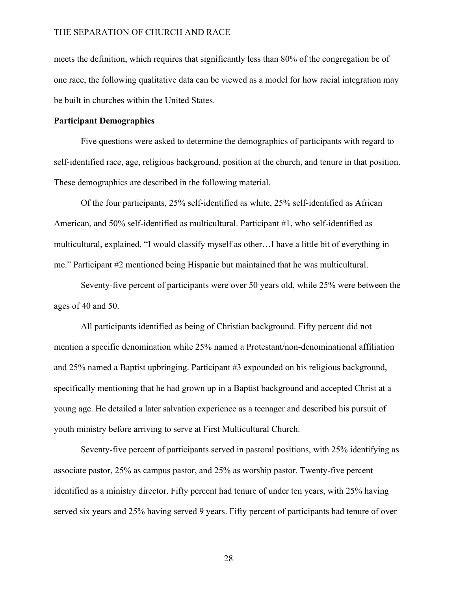meets the definition, which requires that significantly less than 80% of the congregation be of one race, the following qualitative data can be viewed as a model for how racial integration may be built in churches within the United States.

#### **Participant Demographics**

Five questions were asked to determine the demographics of participants with regard to self-identified race, age, religious background, position at the church, and tenure in that position. These demographics are described in the following material.

Of the four participants, 25% self-identified as white, 25% self-identified as African American, and 50% self-identified as multicultural. Participant #1, who self-identified as multicultural, explained, "I would classify myself as other…I have a little bit of everything in me." Participant #2 mentioned being Hispanic but maintained that he was multicultural.

Seventy-five percent of participants were over 50 years old, while 25% were between the ages of 40 and 50.

All participants identified as being of Christian background. Fifty percent did not mention a specific denomination while 25% named a Protestant/non-denominational affiliation and 25% named a Baptist upbringing. Participant #3 expounded on his religious background, specifically mentioning that he had grown up in a Baptist background and accepted Christ at a young age. He detailed a later salvation experience as a teenager and described his pursuit of youth ministry before arriving to serve at First Multicultural Church.

Seventy-five percent of participants served in pastoral positions, with 25% identifying as associate pastor, 25% as campus pastor, and 25% as worship pastor. Twenty-five percent identified as a ministry director. Fifty percent had tenure of under ten years, with 25% having served six years and 25% having served 9 years. Fifty percent of participants had tenure of over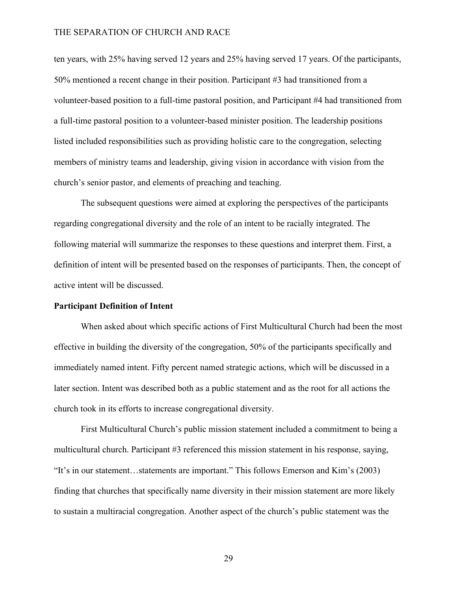ten years, with 25% having served 12 years and 25% having served 17 years. Of the participants, 50% mentioned a recent change in their position. Participant #3 had transitioned from a volunteer-based position to a full-time pastoral position, and Participant #4 had transitioned from a full-time pastoral position to a volunteer-based minister position. The leadership positions listed included responsibilities such as providing holistic care to the congregation, selecting members of ministry teams and leadership, giving vision in accordance with vision from the church's senior pastor, and elements of preaching and teaching.

The subsequent questions were aimed at exploring the perspectives of the participants regarding congregational diversity and the role of an intent to be racially integrated. The following material will summarize the responses to these questions and interpret them. First, a definition of intent will be presented based on the responses of participants. Then, the concept of active intent will be discussed.

#### **Participant Definition of Intent**

When asked about which specific actions of First Multicultural Church had been the most effective in building the diversity of the congregation, 50% of the participants specifically and immediately named intent. Fifty percent named strategic actions, which will be discussed in a later section. Intent was described both as a public statement and as the root for all actions the church took in its efforts to increase congregational diversity.

First Multicultural Church's public mission statement included a commitment to being a multicultural church. Participant #3 referenced this mission statement in his response, saying, "It's in our statement…statements are important." This follows Emerson and Kim's (2003) finding that churches that specifically name diversity in their mission statement are more likely to sustain a multiracial congregation. Another aspect of the church's public statement was the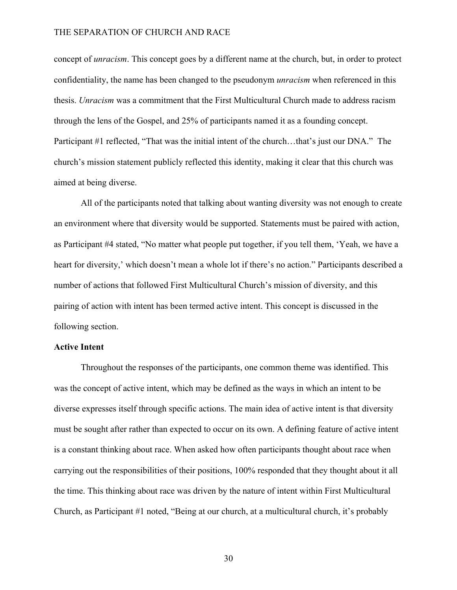concept of *unracism*. This concept goes by a different name at the church, but, in order to protect confidentiality, the name has been changed to the pseudonym *unracism* when referenced in this thesis. *Unracism* was a commitment that the First Multicultural Church made to address racism through the lens of the Gospel, and 25% of participants named it as a founding concept. Participant #1 reflected, "That was the initial intent of the church…that's just our DNA." The church's mission statement publicly reflected this identity, making it clear that this church was aimed at being diverse.

All of the participants noted that talking about wanting diversity was not enough to create an environment where that diversity would be supported. Statements must be paired with action, as Participant #4 stated, "No matter what people put together, if you tell them, 'Yeah, we have a heart for diversity,' which doesn't mean a whole lot if there's no action." Participants described a number of actions that followed First Multicultural Church's mission of diversity, and this pairing of action with intent has been termed active intent. This concept is discussed in the following section.

#### **Active Intent**

Throughout the responses of the participants, one common theme was identified. This was the concept of active intent, which may be defined as the ways in which an intent to be diverse expresses itself through specific actions. The main idea of active intent is that diversity must be sought after rather than expected to occur on its own. A defining feature of active intent is a constant thinking about race. When asked how often participants thought about race when carrying out the responsibilities of their positions, 100% responded that they thought about it all the time. This thinking about race was driven by the nature of intent within First Multicultural Church, as Participant #1 noted, "Being at our church, at a multicultural church, it's probably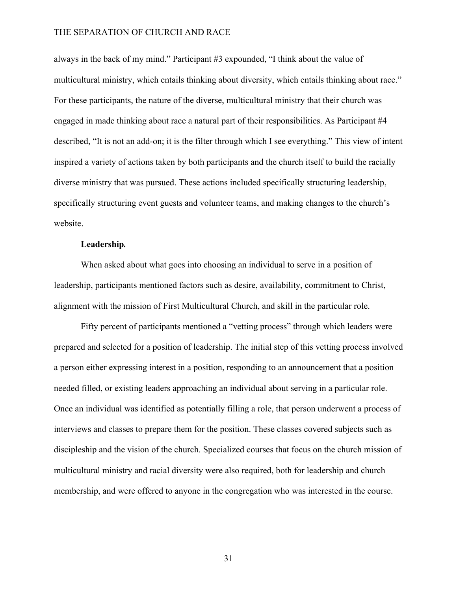always in the back of my mind." Participant #3 expounded, "I think about the value of multicultural ministry, which entails thinking about diversity, which entails thinking about race." For these participants, the nature of the diverse, multicultural ministry that their church was engaged in made thinking about race a natural part of their responsibilities. As Participant #4 described, "It is not an add-on; it is the filter through which I see everything." This view of intent inspired a variety of actions taken by both participants and the church itself to build the racially diverse ministry that was pursued. These actions included specifically structuring leadership, specifically structuring event guests and volunteer teams, and making changes to the church's website.

#### **Leadership***.*

When asked about what goes into choosing an individual to serve in a position of leadership, participants mentioned factors such as desire, availability, commitment to Christ, alignment with the mission of First Multicultural Church, and skill in the particular role.

Fifty percent of participants mentioned a "vetting process" through which leaders were prepared and selected for a position of leadership. The initial step of this vetting process involved a person either expressing interest in a position, responding to an announcement that a position needed filled, or existing leaders approaching an individual about serving in a particular role. Once an individual was identified as potentially filling a role, that person underwent a process of interviews and classes to prepare them for the position. These classes covered subjects such as discipleship and the vision of the church. Specialized courses that focus on the church mission of multicultural ministry and racial diversity were also required, both for leadership and church membership, and were offered to anyone in the congregation who was interested in the course.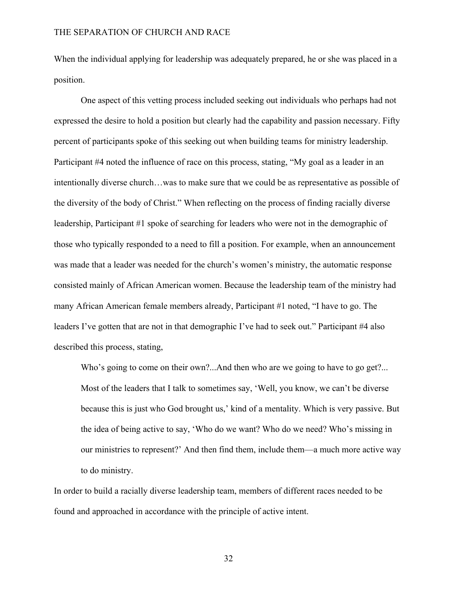When the individual applying for leadership was adequately prepared, he or she was placed in a position.

One aspect of this vetting process included seeking out individuals who perhaps had not expressed the desire to hold a position but clearly had the capability and passion necessary. Fifty percent of participants spoke of this seeking out when building teams for ministry leadership. Participant #4 noted the influence of race on this process, stating, "My goal as a leader in an intentionally diverse church…was to make sure that we could be as representative as possible of the diversity of the body of Christ." When reflecting on the process of finding racially diverse leadership, Participant #1 spoke of searching for leaders who were not in the demographic of those who typically responded to a need to fill a position. For example, when an announcement was made that a leader was needed for the church's women's ministry, the automatic response consisted mainly of African American women. Because the leadership team of the ministry had many African American female members already, Participant #1 noted, "I have to go. The leaders I've gotten that are not in that demographic I've had to seek out." Participant #4 also described this process, stating,

Who's going to come on their own?...And then who are we going to have to go get?... Most of the leaders that I talk to sometimes say, 'Well, you know, we can't be diverse because this is just who God brought us,' kind of a mentality. Which is very passive. But the idea of being active to say, 'Who do we want? Who do we need? Who's missing in our ministries to represent?' And then find them, include them—a much more active way to do ministry.

In order to build a racially diverse leadership team, members of different races needed to be found and approached in accordance with the principle of active intent.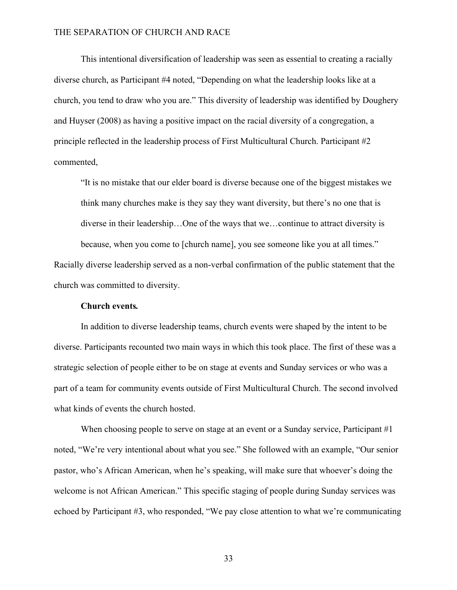This intentional diversification of leadership was seen as essential to creating a racially diverse church, as Participant #4 noted, "Depending on what the leadership looks like at a church, you tend to draw who you are." This diversity of leadership was identified by Doughery and Huyser (2008) as having a positive impact on the racial diversity of a congregation, a principle reflected in the leadership process of First Multicultural Church. Participant #2 commented,

"It is no mistake that our elder board is diverse because one of the biggest mistakes we think many churches make is they say they want diversity, but there's no one that is diverse in their leadership…One of the ways that we…continue to attract diversity is because, when you come to [church name], you see someone like you at all times."

Racially diverse leadership served as a non-verbal confirmation of the public statement that the church was committed to diversity.

#### **Church events***.*

In addition to diverse leadership teams, church events were shaped by the intent to be diverse. Participants recounted two main ways in which this took place. The first of these was a strategic selection of people either to be on stage at events and Sunday services or who was a part of a team for community events outside of First Multicultural Church. The second involved what kinds of events the church hosted.

When choosing people to serve on stage at an event or a Sunday service, Participant #1 noted, "We're very intentional about what you see." She followed with an example, "Our senior pastor, who's African American, when he's speaking, will make sure that whoever's doing the welcome is not African American." This specific staging of people during Sunday services was echoed by Participant #3, who responded, "We pay close attention to what we're communicating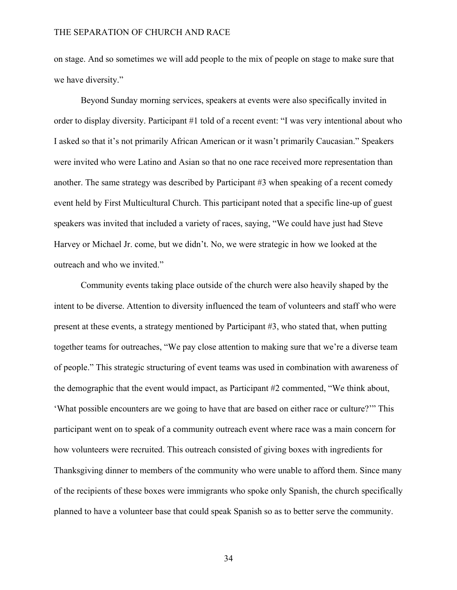on stage. And so sometimes we will add people to the mix of people on stage to make sure that we have diversity."

Beyond Sunday morning services, speakers at events were also specifically invited in order to display diversity. Participant #1 told of a recent event: "I was very intentional about who I asked so that it's not primarily African American or it wasn't primarily Caucasian." Speakers were invited who were Latino and Asian so that no one race received more representation than another. The same strategy was described by Participant #3 when speaking of a recent comedy event held by First Multicultural Church. This participant noted that a specific line-up of guest speakers was invited that included a variety of races, saying, "We could have just had Steve Harvey or Michael Jr. come, but we didn't. No, we were strategic in how we looked at the outreach and who we invited."

Community events taking place outside of the church were also heavily shaped by the intent to be diverse. Attention to diversity influenced the team of volunteers and staff who were present at these events, a strategy mentioned by Participant #3, who stated that, when putting together teams for outreaches, "We pay close attention to making sure that we're a diverse team of people." This strategic structuring of event teams was used in combination with awareness of the demographic that the event would impact, as Participant #2 commented, "We think about, 'What possible encounters are we going to have that are based on either race or culture?'" This participant went on to speak of a community outreach event where race was a main concern for how volunteers were recruited. This outreach consisted of giving boxes with ingredients for Thanksgiving dinner to members of the community who were unable to afford them. Since many of the recipients of these boxes were immigrants who spoke only Spanish, the church specifically planned to have a volunteer base that could speak Spanish so as to better serve the community.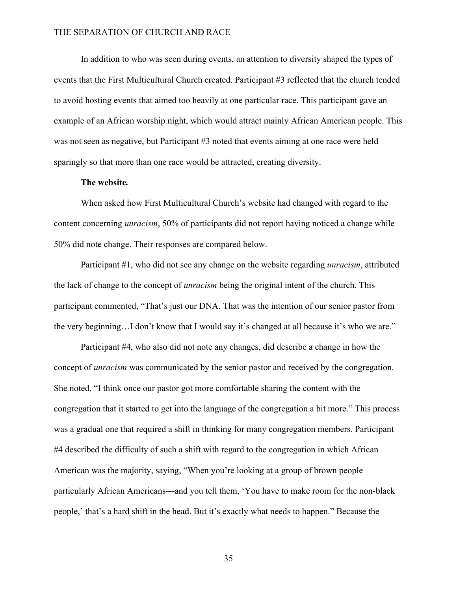In addition to who was seen during events, an attention to diversity shaped the types of events that the First Multicultural Church created. Participant #3 reflected that the church tended to avoid hosting events that aimed too heavily at one particular race. This participant gave an example of an African worship night, which would attract mainly African American people. This was not seen as negative, but Participant #3 noted that events aiming at one race were held sparingly so that more than one race would be attracted, creating diversity.

#### **The website***.*

When asked how First Multicultural Church's website had changed with regard to the content concerning *unracism*, 50% of participants did not report having noticed a change while 50% did note change. Their responses are compared below.

Participant #1, who did not see any change on the website regarding *unracism*, attributed the lack of change to the concept of *unracism* being the original intent of the church. This participant commented, "That's just our DNA. That was the intention of our senior pastor from the very beginning…I don't know that I would say it's changed at all because it's who we are."

Participant #4, who also did not note any changes, did describe a change in how the concept of *unracism* was communicated by the senior pastor and received by the congregation. She noted, "I think once our pastor got more comfortable sharing the content with the congregation that it started to get into the language of the congregation a bit more." This process was a gradual one that required a shift in thinking for many congregation members. Participant #4 described the difficulty of such a shift with regard to the congregation in which African American was the majority, saying, "When you're looking at a group of brown people particularly African Americans—and you tell them, 'You have to make room for the non-black people,' that's a hard shift in the head. But it's exactly what needs to happen." Because the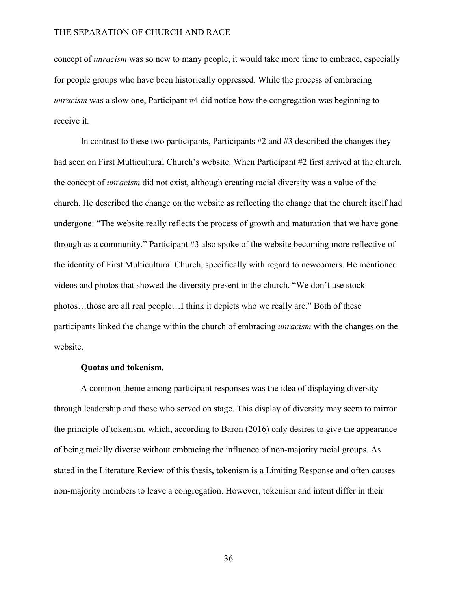concept of *unracism* was so new to many people, it would take more time to embrace, especially for people groups who have been historically oppressed. While the process of embracing *unracism* was a slow one, Participant #4 did notice how the congregation was beginning to receive it.

In contrast to these two participants, Participants #2 and #3 described the changes they had seen on First Multicultural Church's website. When Participant #2 first arrived at the church, the concept of *unracism* did not exist, although creating racial diversity was a value of the church. He described the change on the website as reflecting the change that the church itself had undergone: "The website really reflects the process of growth and maturation that we have gone through as a community." Participant #3 also spoke of the website becoming more reflective of the identity of First Multicultural Church, specifically with regard to newcomers. He mentioned videos and photos that showed the diversity present in the church, "We don't use stock photos…those are all real people…I think it depicts who we really are." Both of these participants linked the change within the church of embracing *unracism* with the changes on the website.

#### **Quotas and tokenism***.*

A common theme among participant responses was the idea of displaying diversity through leadership and those who served on stage. This display of diversity may seem to mirror the principle of tokenism, which, according to Baron (2016) only desires to give the appearance of being racially diverse without embracing the influence of non-majority racial groups. As stated in the Literature Review of this thesis, tokenism is a Limiting Response and often causes non-majority members to leave a congregation. However, tokenism and intent differ in their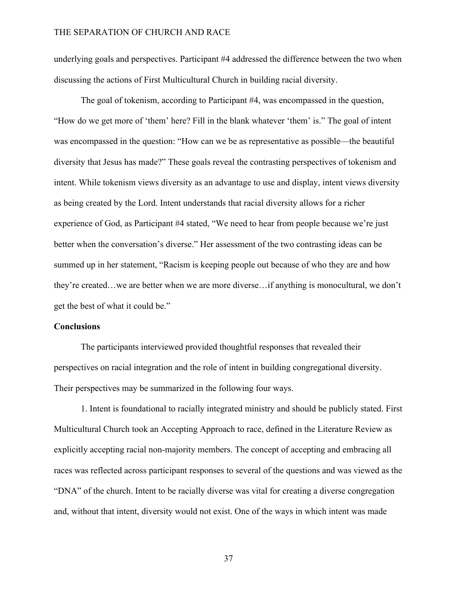underlying goals and perspectives. Participant #4 addressed the difference between the two when discussing the actions of First Multicultural Church in building racial diversity.

The goal of tokenism, according to Participant #4, was encompassed in the question, "How do we get more of 'them' here? Fill in the blank whatever 'them' is." The goal of intent was encompassed in the question: "How can we be as representative as possible—the beautiful diversity that Jesus has made?" These goals reveal the contrasting perspectives of tokenism and intent. While tokenism views diversity as an advantage to use and display, intent views diversity as being created by the Lord. Intent understands that racial diversity allows for a richer experience of God, as Participant #4 stated, "We need to hear from people because we're just better when the conversation's diverse." Her assessment of the two contrasting ideas can be summed up in her statement, "Racism is keeping people out because of who they are and how they're created…we are better when we are more diverse…if anything is monocultural, we don't get the best of what it could be."

#### **Conclusions**

The participants interviewed provided thoughtful responses that revealed their perspectives on racial integration and the role of intent in building congregational diversity. Their perspectives may be summarized in the following four ways.

1. Intent is foundational to racially integrated ministry and should be publicly stated. First Multicultural Church took an Accepting Approach to race, defined in the Literature Review as explicitly accepting racial non-majority members. The concept of accepting and embracing all races was reflected across participant responses to several of the questions and was viewed as the "DNA" of the church. Intent to be racially diverse was vital for creating a diverse congregation and, without that intent, diversity would not exist. One of the ways in which intent was made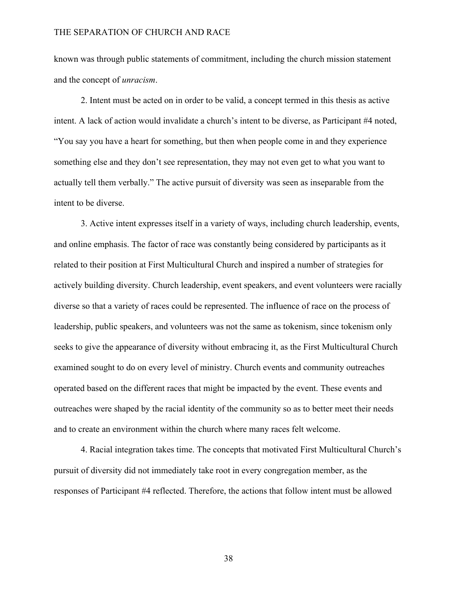known was through public statements of commitment, including the church mission statement and the concept of *unracism*.

2. Intent must be acted on in order to be valid, a concept termed in this thesis as active intent. A lack of action would invalidate a church's intent to be diverse, as Participant #4 noted, "You say you have a heart for something, but then when people come in and they experience something else and they don't see representation, they may not even get to what you want to actually tell them verbally." The active pursuit of diversity was seen as inseparable from the intent to be diverse.

3. Active intent expresses itself in a variety of ways, including church leadership, events, and online emphasis. The factor of race was constantly being considered by participants as it related to their position at First Multicultural Church and inspired a number of strategies for actively building diversity. Church leadership, event speakers, and event volunteers were racially diverse so that a variety of races could be represented. The influence of race on the process of leadership, public speakers, and volunteers was not the same as tokenism, since tokenism only seeks to give the appearance of diversity without embracing it, as the First Multicultural Church examined sought to do on every level of ministry. Church events and community outreaches operated based on the different races that might be impacted by the event. These events and outreaches were shaped by the racial identity of the community so as to better meet their needs and to create an environment within the church where many races felt welcome.

4. Racial integration takes time. The concepts that motivated First Multicultural Church's pursuit of diversity did not immediately take root in every congregation member, as the responses of Participant #4 reflected. Therefore, the actions that follow intent must be allowed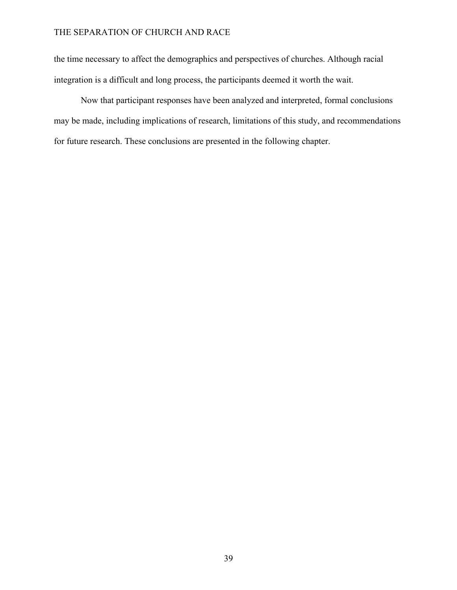the time necessary to affect the demographics and perspectives of churches. Although racial integration is a difficult and long process, the participants deemed it worth the wait.

Now that participant responses have been analyzed and interpreted, formal conclusions may be made, including implications of research, limitations of this study, and recommendations for future research. These conclusions are presented in the following chapter.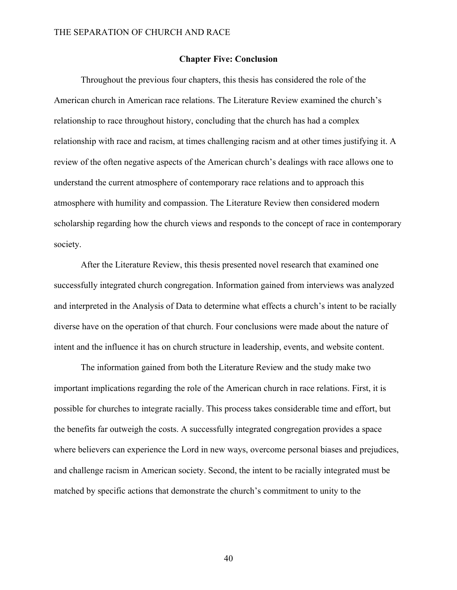#### **Chapter Five: Conclusion**

Throughout the previous four chapters, this thesis has considered the role of the American church in American race relations. The Literature Review examined the church's relationship to race throughout history, concluding that the church has had a complex relationship with race and racism, at times challenging racism and at other times justifying it. A review of the often negative aspects of the American church's dealings with race allows one to understand the current atmosphere of contemporary race relations and to approach this atmosphere with humility and compassion. The Literature Review then considered modern scholarship regarding how the church views and responds to the concept of race in contemporary society.

After the Literature Review, this thesis presented novel research that examined one successfully integrated church congregation. Information gained from interviews was analyzed and interpreted in the Analysis of Data to determine what effects a church's intent to be racially diverse have on the operation of that church. Four conclusions were made about the nature of intent and the influence it has on church structure in leadership, events, and website content.

The information gained from both the Literature Review and the study make two important implications regarding the role of the American church in race relations. First, it is possible for churches to integrate racially. This process takes considerable time and effort, but the benefits far outweigh the costs. A successfully integrated congregation provides a space where believers can experience the Lord in new ways, overcome personal biases and prejudices, and challenge racism in American society. Second, the intent to be racially integrated must be matched by specific actions that demonstrate the church's commitment to unity to the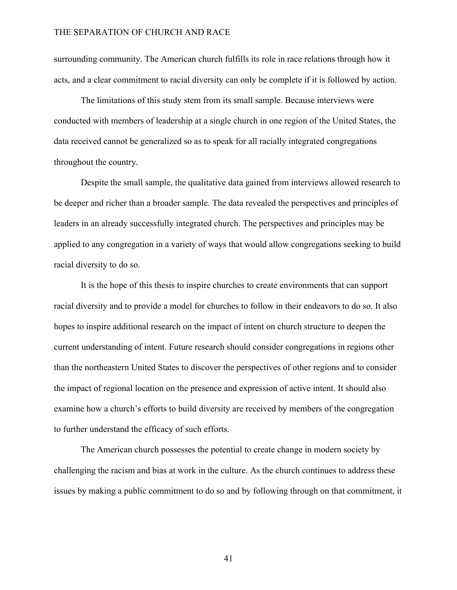surrounding community. The American church fulfills its role in race relations through how it acts, and a clear commitment to racial diversity can only be complete if it is followed by action.

The limitations of this study stem from its small sample. Because interviews were conducted with members of leadership at a single church in one region of the United States, the data received cannot be generalized so as to speak for all racially integrated congregations throughout the country.

Despite the small sample, the qualitative data gained from interviews allowed research to be deeper and richer than a broader sample. The data revealed the perspectives and principles of leaders in an already successfully integrated church. The perspectives and principles may be applied to any congregation in a variety of ways that would allow congregations seeking to build racial diversity to do so.

It is the hope of this thesis to inspire churches to create environments that can support racial diversity and to provide a model for churches to follow in their endeavors to do so. It also hopes to inspire additional research on the impact of intent on church structure to deepen the current understanding of intent. Future research should consider congregations in regions other than the northeastern United States to discover the perspectives of other regions and to consider the impact of regional location on the presence and expression of active intent. It should also examine how a church's efforts to build diversity are received by members of the congregation to further understand the efficacy of such efforts.

The American church possesses the potential to create change in modern society by challenging the racism and bias at work in the culture. As the church continues to address these issues by making a public commitment to do so and by following through on that commitment, it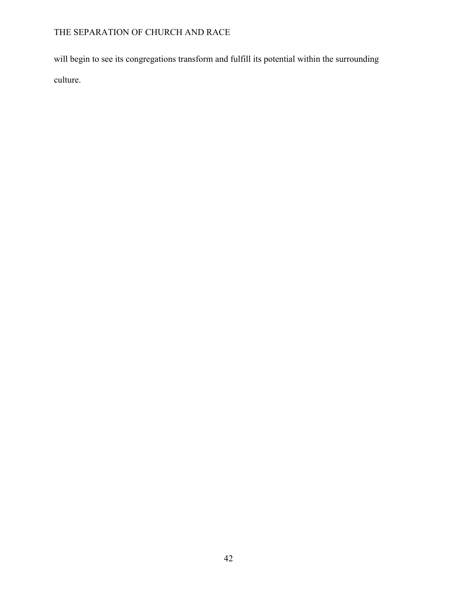will begin to see its congregations transform and fulfill its potential within the surrounding culture.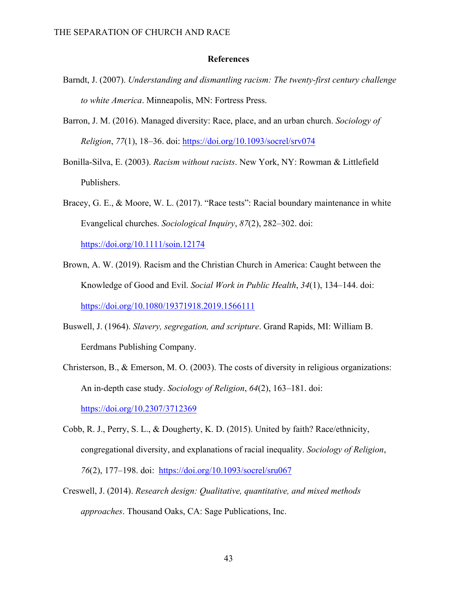#### **References**

- Barndt, J. (2007). *Understanding and dismantling racism: The twenty-first century challenge to white America*. Minneapolis, MN: Fortress Press.
- Barron, J. M. (2016). Managed diversity: Race, place, and an urban church. *Sociology of Religion*, *77*(1), 18–36. doi: https://doi.org/10.1093/socrel/srv074
- Bonilla-Silva, E. (2003). *Racism without racists*. New York, NY: Rowman & Littlefield Publishers.
- Bracey, G. E., & Moore, W. L. (2017). "Race tests": Racial boundary maintenance in white Evangelical churches. *Sociological Inquiry*, *87*(2), 282–302. doi:

https://doi.org/10.1111/soin.12174

- Brown, A. W. (2019). Racism and the Christian Church in America: Caught between the Knowledge of Good and Evil. *Social Work in Public Health*, *34*(1), 134–144. doi: https://doi.org/10.1080/19371918.2019.1566111
- Buswell, J. (1964). *Slavery, segregation, and scripture*. Grand Rapids, MI: William B. Eerdmans Publishing Company.
- Christerson, B., & Emerson, M. O. (2003). The costs of diversity in religious organizations: An in-depth case study. *Sociology of Religion*, *64*(2), 163–181. doi: https://doi.org/10.2307/3712369
- Cobb, R. J., Perry, S. L., & Dougherty, K. D. (2015). United by faith? Race/ethnicity, congregational diversity, and explanations of racial inequality. *Sociology of Religion*, *76*(2), 177–198. doi: https://doi.org/10.1093/socrel/sru067
- Creswell, J. (2014). *Research design: Qualitative, quantitative, and mixed methods approaches*. Thousand Oaks, CA: Sage Publications, Inc.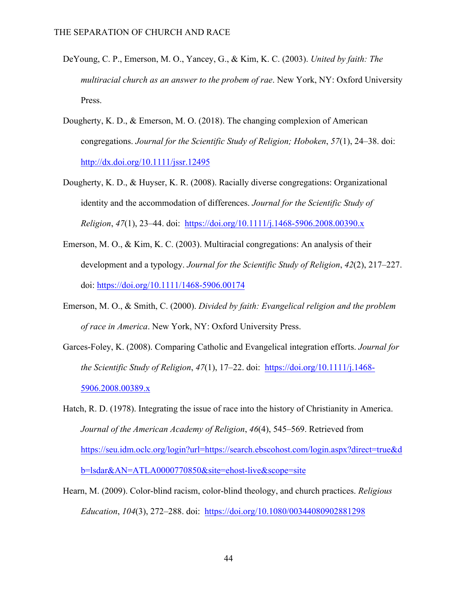- DeYoung, C. P., Emerson, M. O., Yancey, G., & Kim, K. C. (2003). *United by faith: The multiracial church as an answer to the probem of rae*. New York, NY: Oxford University Press.
- Dougherty, K. D., & Emerson, M. O. (2018). The changing complexion of American congregations. *Journal for the Scientific Study of Religion; Hoboken*, *57*(1), 24–38. doi: http://dx.doi.org/10.1111/jssr.12495
- Dougherty, K. D., & Huyser, K. R. (2008). Racially diverse congregations: Organizational identity and the accommodation of differences. *Journal for the Scientific Study of Religion*, *47*(1), 23–44. doi: https://doi.org/10.1111/j.1468-5906.2008.00390.x
- Emerson, M. O., & Kim, K. C. (2003). Multiracial congregations: An analysis of their development and a typology. *Journal for the Scientific Study of Religion*, *42*(2), 217–227. doi: https://doi.org/10.1111/1468-5906.00174
- Emerson, M. O., & Smith, C. (2000). *Divided by faith: Evangelical religion and the problem of race in America*. New York, NY: Oxford University Press.
- Garces-Foley, K. (2008). Comparing Catholic and Evangelical integration efforts. *Journal for the Scientific Study of Religion*, *47*(1), 17–22. doi: https://doi.org/10.1111/j.1468- 5906.2008.00389.x
- Hatch, R. D. (1978). Integrating the issue of race into the history of Christianity in America. *Journal of the American Academy of Religion*, *46*(4), 545–569. Retrieved from https://seu.idm.oclc.org/login?url=https://search.ebscohost.com/login.aspx?direct=true&d b=lsdar&AN=ATLA0000770850&site=ehost-live&scope=site
- Hearn, M. (2009). Color-blind racism, color-blind theology, and church practices. *Religious Education*, *104*(3), 272–288. doi: https://doi.org/10.1080/00344080902881298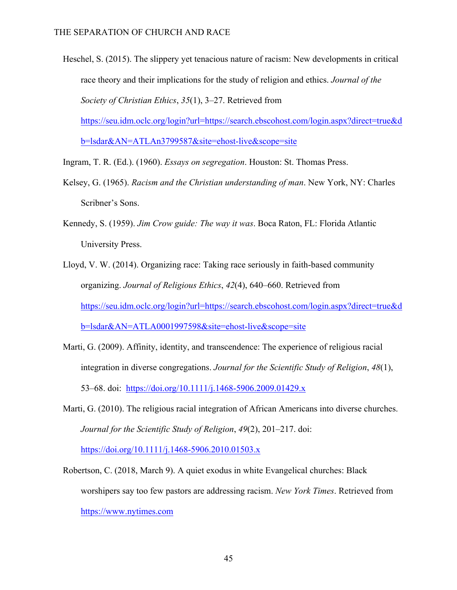- Heschel, S. (2015). The slippery yet tenacious nature of racism: New developments in critical race theory and their implications for the study of religion and ethics. *Journal of the Society of Christian Ethics*, *35*(1), 3–27. Retrieved from https://seu.idm.oclc.org/login?url=https://search.ebscohost.com/login.aspx?direct=true&d b=lsdar&AN=ATLAn3799587&site=ehost-live&scope=site
- Ingram, T. R. (Ed.). (1960). *Essays on segregation*. Houston: St. Thomas Press.
- Kelsey, G. (1965). *Racism and the Christian understanding of man*. New York, NY: Charles Scribner's Sons.
- Kennedy, S. (1959). *Jim Crow guide: The way it was*. Boca Raton, FL: Florida Atlantic University Press.
- Lloyd, V. W. (2014). Organizing race: Taking race seriously in faith-based community organizing. *Journal of Religious Ethics*, *42*(4), 640–660. Retrieved from https://seu.idm.oclc.org/login?url=https://search.ebscohost.com/login.aspx?direct=true&d b=lsdar&AN=ATLA0001997598&site=ehost-live&scope=site
- Marti, G. (2009). Affinity, identity, and transcendence: The experience of religious racial integration in diverse congregations. *Journal for the Scientific Study of Religion*, *48*(1), 53–68. doi: https://doi.org/10.1111/j.1468-5906.2009.01429.x
- Marti, G. (2010). The religious racial integration of African Americans into diverse churches. *Journal for the Scientific Study of Religion*, *49*(2), 201–217. doi: https://doi.org/10.1111/j.1468-5906.2010.01503.x

Robertson, C. (2018, March 9). A quiet exodus in white Evangelical churches: Black worshipers say too few pastors are addressing racism. *New York Times*. Retrieved from https://www.nytimes.com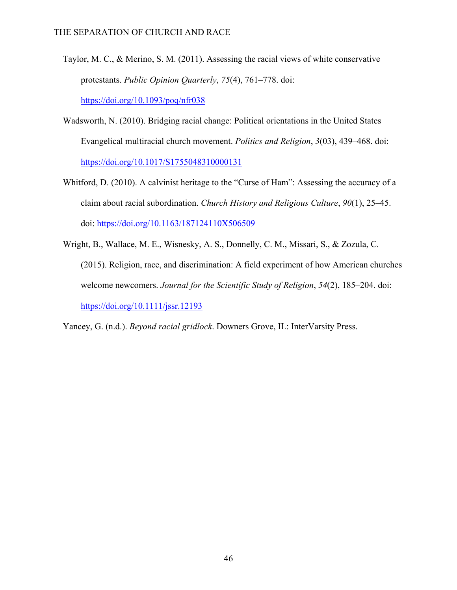- Taylor, M. C., & Merino, S. M. (2011). Assessing the racial views of white conservative protestants. *Public Opinion Quarterly*, *75*(4), 761–778. doi: https://doi.org/10.1093/poq/nfr038
- Wadsworth, N. (2010). Bridging racial change: Political orientations in the United States Evangelical multiracial church movement. *Politics and Religion*, *3*(03), 439–468. doi: https://doi.org/10.1017/S1755048310000131
- Whitford, D. (2010). A calvinist heritage to the "Curse of Ham": Assessing the accuracy of a claim about racial subordination. *Church History and Religious Culture*, *90*(1), 25–45. doi: https://doi.org/10.1163/187124110X506509
- Wright, B., Wallace, M. E., Wisnesky, A. S., Donnelly, C. M., Missari, S., & Zozula, C. (2015). Religion, race, and discrimination: A field experiment of how American churches welcome newcomers. *Journal for the Scientific Study of Religion*, *54*(2), 185–204. doi: https://doi.org/10.1111/jssr.12193

Yancey, G. (n.d.). *Beyond racial gridlock*. Downers Grove, IL: InterVarsity Press.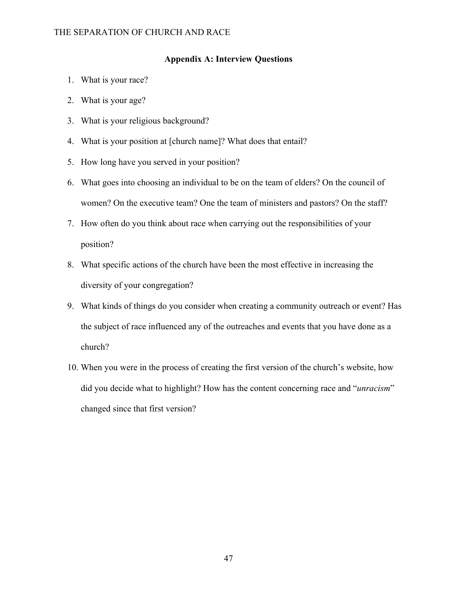#### **Appendix A: Interview Questions**

- 1. What is your race?
- 2. What is your age?
- 3. What is your religious background?
- 4. What is your position at [church name]? What does that entail?
- 5. How long have you served in your position?
- 6. What goes into choosing an individual to be on the team of elders? On the council of women? On the executive team? One the team of ministers and pastors? On the staff?
- 7. How often do you think about race when carrying out the responsibilities of your position?
- 8. What specific actions of the church have been the most effective in increasing the diversity of your congregation?
- 9. What kinds of things do you consider when creating a community outreach or event? Has the subject of race influenced any of the outreaches and events that you have done as a church?
- 10. When you were in the process of creating the first version of the church's website, how did you decide what to highlight? How has the content concerning race and "*unracism*" changed since that first version?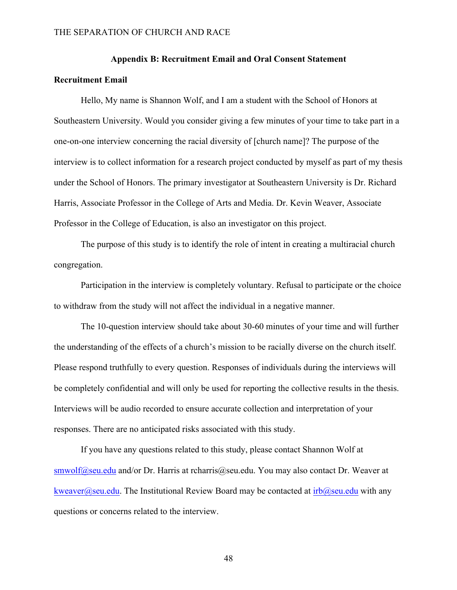#### **Appendix B: Recruitment Email and Oral Consent Statement**

#### **Recruitment Email**

Hello, My name is Shannon Wolf, and I am a student with the School of Honors at Southeastern University. Would you consider giving a few minutes of your time to take part in a one-on-one interview concerning the racial diversity of [church name]? The purpose of the interview is to collect information for a research project conducted by myself as part of my thesis under the School of Honors. The primary investigator at Southeastern University is Dr. Richard Harris, Associate Professor in the College of Arts and Media. Dr. Kevin Weaver, Associate Professor in the College of Education, is also an investigator on this project.

The purpose of this study is to identify the role of intent in creating a multiracial church congregation.

Participation in the interview is completely voluntary. Refusal to participate or the choice to withdraw from the study will not affect the individual in a negative manner.

The 10-question interview should take about 30-60 minutes of your time and will further the understanding of the effects of a church's mission to be racially diverse on the church itself. Please respond truthfully to every question. Responses of individuals during the interviews will be completely confidential and will only be used for reporting the collective results in the thesis. Interviews will be audio recorded to ensure accurate collection and interpretation of your responses. There are no anticipated risks associated with this study.

If you have any questions related to this study, please contact Shannon Wolf at smwolf@seu.edu and/or Dr. Harris at rcharris@seu.edu. You may also contact Dr. Weaver at kweaver@seu.edu. The Institutional Review Board may be contacted at  $irb@$ seu.edu with any questions or concerns related to the interview.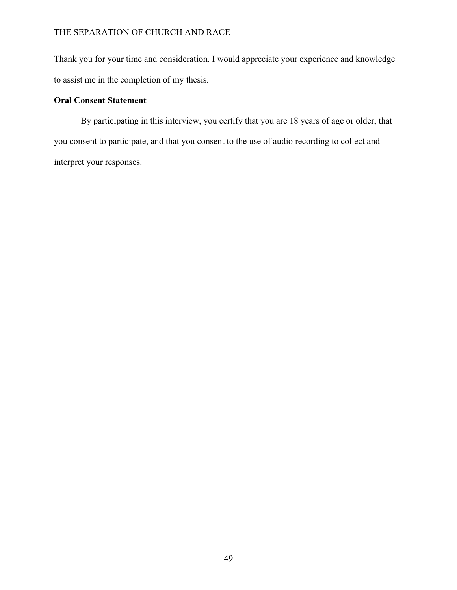Thank you for your time and consideration. I would appreciate your experience and knowledge to assist me in the completion of my thesis.

### **Oral Consent Statement**

By participating in this interview, you certify that you are 18 years of age or older, that you consent to participate, and that you consent to the use of audio recording to collect and interpret your responses.